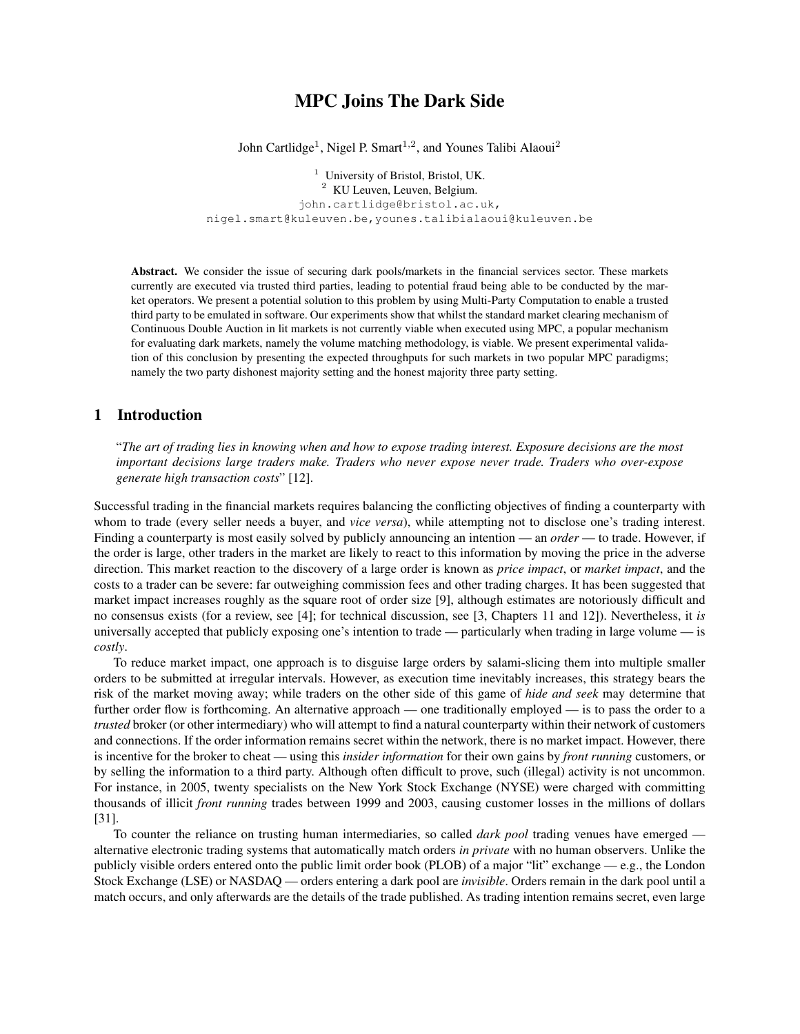# MPC Joins The Dark Side

John Cartlidge<sup>1</sup>, Nigel P. Smart<sup>1,2</sup>, and Younes Talibi Alaoui<sup>2</sup>

 $1$  University of Bristol, Bristol, UK. <sup>2</sup> KU Leuven, Leuven, Belgium. john.cartlidge@bristol.ac.uk, nigel.smart@kuleuven.be,younes.talibialaoui@kuleuven.be

Abstract. We consider the issue of securing dark pools/markets in the financial services sector. These markets currently are executed via trusted third parties, leading to potential fraud being able to be conducted by the market operators. We present a potential solution to this problem by using Multi-Party Computation to enable a trusted third party to be emulated in software. Our experiments show that whilst the standard market clearing mechanism of Continuous Double Auction in lit markets is not currently viable when executed using MPC, a popular mechanism for evaluating dark markets, namely the volume matching methodology, is viable. We present experimental validation of this conclusion by presenting the expected throughputs for such markets in two popular MPC paradigms; namely the two party dishonest majority setting and the honest majority three party setting.

# 1 Introduction

"*The art of trading lies in knowing when and how to expose trading interest. Exposure decisions are the most important decisions large traders make. Traders who never expose never trade. Traders who over-expose generate high transaction costs*" [12].

Successful trading in the financial markets requires balancing the conflicting objectives of finding a counterparty with whom to trade (every seller needs a buyer, and *vice versa*), while attempting not to disclose one's trading interest. Finding a counterparty is most easily solved by publicly announcing an intention — an *order* — to trade. However, if the order is large, other traders in the market are likely to react to this information by moving the price in the adverse direction. This market reaction to the discovery of a large order is known as *price impact*, or *market impact*, and the costs to a trader can be severe: far outweighing commission fees and other trading charges. It has been suggested that market impact increases roughly as the square root of order size [9], although estimates are notoriously difficult and no consensus exists (for a review, see [4]; for technical discussion, see [3, Chapters 11 and 12]). Nevertheless, it *is* universally accepted that publicly exposing one's intention to trade — particularly when trading in large volume — is *costly*.

To reduce market impact, one approach is to disguise large orders by salami-slicing them into multiple smaller orders to be submitted at irregular intervals. However, as execution time inevitably increases, this strategy bears the risk of the market moving away; while traders on the other side of this game of *hide and seek* may determine that further order flow is forthcoming. An alternative approach — one traditionally employed — is to pass the order to a *trusted* broker (or other intermediary) who will attempt to find a natural counterparty within their network of customers and connections. If the order information remains secret within the network, there is no market impact. However, there is incentive for the broker to cheat — using this *insider information* for their own gains by *front running* customers, or by selling the information to a third party. Although often difficult to prove, such (illegal) activity is not uncommon. For instance, in 2005, twenty specialists on the New York Stock Exchange (NYSE) were charged with committing thousands of illicit *front running* trades between 1999 and 2003, causing customer losses in the millions of dollars [31].

To counter the reliance on trusting human intermediaries, so called *dark pool* trading venues have emerged alternative electronic trading systems that automatically match orders *in private* with no human observers. Unlike the publicly visible orders entered onto the public limit order book (PLOB) of a major "lit" exchange — e.g., the London Stock Exchange (LSE) or NASDAQ — orders entering a dark pool are *invisible*. Orders remain in the dark pool until a match occurs, and only afterwards are the details of the trade published. As trading intention remains secret, even large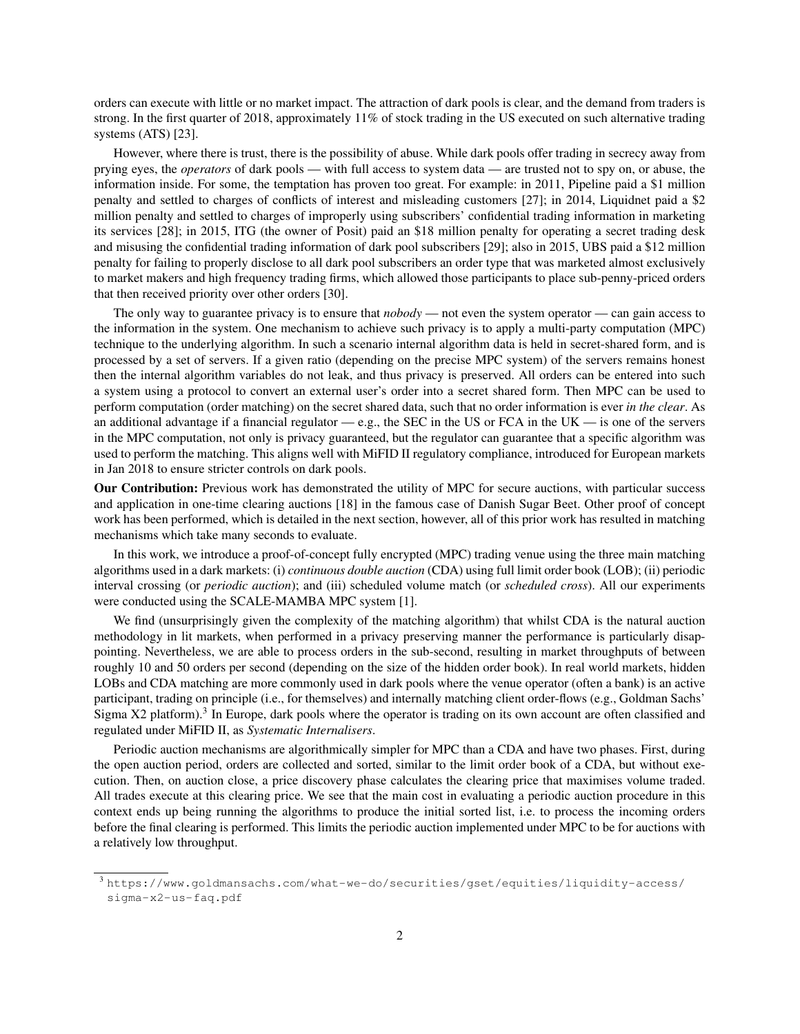orders can execute with little or no market impact. The attraction of dark pools is clear, and the demand from traders is strong. In the first quarter of 2018, approximately 11% of stock trading in the US executed on such alternative trading systems (ATS) [23].

However, where there is trust, there is the possibility of abuse. While dark pools offer trading in secrecy away from prying eyes, the *operators* of dark pools — with full access to system data — are trusted not to spy on, or abuse, the information inside. For some, the temptation has proven too great. For example: in 2011, Pipeline paid a \$1 million penalty and settled to charges of conflicts of interest and misleading customers [27]; in 2014, Liquidnet paid a \$2 million penalty and settled to charges of improperly using subscribers' confidential trading information in marketing its services [28]; in 2015, ITG (the owner of Posit) paid an \$18 million penalty for operating a secret trading desk and misusing the confidential trading information of dark pool subscribers [29]; also in 2015, UBS paid a \$12 million penalty for failing to properly disclose to all dark pool subscribers an order type that was marketed almost exclusively to market makers and high frequency trading firms, which allowed those participants to place sub-penny-priced orders that then received priority over other orders [30].

The only way to guarantee privacy is to ensure that *nobody* — not even the system operator — can gain access to the information in the system. One mechanism to achieve such privacy is to apply a multi-party computation (MPC) technique to the underlying algorithm. In such a scenario internal algorithm data is held in secret-shared form, and is processed by a set of servers. If a given ratio (depending on the precise MPC system) of the servers remains honest then the internal algorithm variables do not leak, and thus privacy is preserved. All orders can be entered into such a system using a protocol to convert an external user's order into a secret shared form. Then MPC can be used to perform computation (order matching) on the secret shared data, such that no order information is ever *in the clear*. As an additional advantage if a financial regulator — e.g., the SEC in the US or FCA in the UK — is one of the servers in the MPC computation, not only is privacy guaranteed, but the regulator can guarantee that a specific algorithm was used to perform the matching. This aligns well with MiFID II regulatory compliance, introduced for European markets in Jan 2018 to ensure stricter controls on dark pools.

Our Contribution: Previous work has demonstrated the utility of MPC for secure auctions, with particular success and application in one-time clearing auctions [18] in the famous case of Danish Sugar Beet. Other proof of concept work has been performed, which is detailed in the next section, however, all of this prior work has resulted in matching mechanisms which take many seconds to evaluate.

In this work, we introduce a proof-of-concept fully encrypted (MPC) trading venue using the three main matching algorithms used in a dark markets: (i) *continuous double auction* (CDA) using full limit order book (LOB); (ii) periodic interval crossing (or *periodic auction*); and (iii) scheduled volume match (or *scheduled cross*). All our experiments were conducted using the SCALE-MAMBA MPC system [1].

We find (unsurprisingly given the complexity of the matching algorithm) that whilst CDA is the natural auction methodology in lit markets, when performed in a privacy preserving manner the performance is particularly disappointing. Nevertheless, we are able to process orders in the sub-second, resulting in market throughputs of between roughly 10 and 50 orders per second (depending on the size of the hidden order book). In real world markets, hidden LOBs and CDA matching are more commonly used in dark pools where the venue operator (often a bank) is an active participant, trading on principle (i.e., for themselves) and internally matching client order-flows (e.g., Goldman Sachs' Sigma X2 platform).<sup>3</sup> In Europe, dark pools where the operator is trading on its own account are often classified and regulated under MiFID II, as *Systematic Internalisers*.

Periodic auction mechanisms are algorithmically simpler for MPC than a CDA and have two phases. First, during the open auction period, orders are collected and sorted, similar to the limit order book of a CDA, but without execution. Then, on auction close, a price discovery phase calculates the clearing price that maximises volume traded. All trades execute at this clearing price. We see that the main cost in evaluating a periodic auction procedure in this context ends up being running the algorithms to produce the initial sorted list, i.e. to process the incoming orders before the final clearing is performed. This limits the periodic auction implemented under MPC to be for auctions with a relatively low throughput.

<sup>3</sup> https://www.goldmansachs.com/what-we-do/securities/gset/equities/liquidity-access/ sigma-x2-us-faq.pdf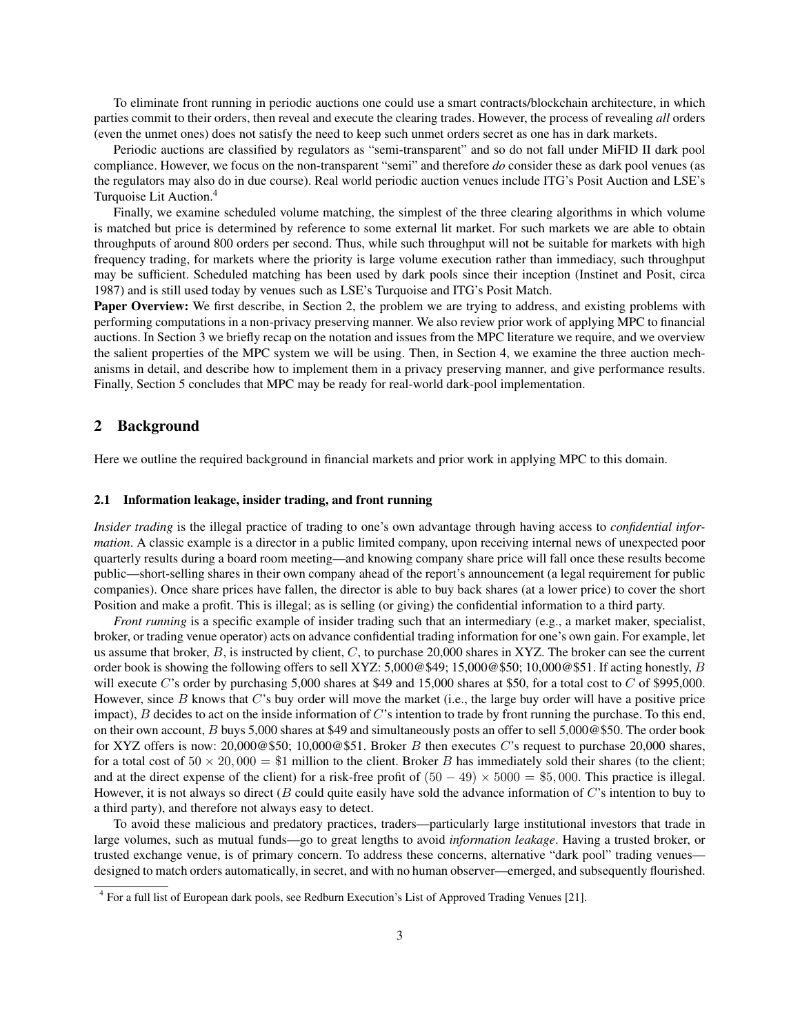To eliminate front running in periodic auctions one could use a smart contracts/blockchain architecture, in which parties commit to their orders, then reveal and execute the clearing trades. However, the process of revealing *all* orders (even the unmet ones) does not satisfy the need to keep such unmet orders secret as one has in dark markets.

Periodic auctions are classified by regulators as "semi-transparent" and so do not fall under MiFID II dark pool compliance. However, we focus on the non-transparent "semi" and therefore *do* consider these as dark pool venues (as the regulators may also do in due course). Real world periodic auction venues include ITG's Posit Auction and LSE's Turquoise Lit Auction.<sup>4</sup>

Finally, we examine scheduled volume matching, the simplest of the three clearing algorithms in which volume is matched but price is determined by reference to some external lit market. For such markets we are able to obtain throughputs of around 800 orders per second. Thus, while such throughput will not be suitable for markets with high frequency trading, for markets where the priority is large volume execution rather than immediacy, such throughput may be sufficient. Scheduled matching has been used by dark pools since their inception (Instinet and Posit, circa 1987) and is still used today by venues such as LSE's Turquoise and ITG's Posit Match.

Paper Overview: We first describe, in Section 2, the problem we are trying to address, and existing problems with performing computations in a non-privacy preserving manner. We also review prior work of applying MPC to financial auctions. In Section 3 we briefly recap on the notation and issues from the MPC literature we require, and we overview the salient properties of the MPC system we will be using. Then, in Section 4, we examine the three auction mechanisms in detail, and describe how to implement them in a privacy preserving manner, and give performance results. Finally, Section 5 concludes that MPC may be ready for real-world dark-pool implementation.

# 2 Background

Here we outline the required background in financial markets and prior work in applying MPC to this domain.

#### 2.1 Information leakage, insider trading, and front running

*Insider trading* is the illegal practice of trading to one's own advantage through having access to *confidential information*. A classic example is a director in a public limited company, upon receiving internal news of unexpected poor quarterly results during a board room meeting—and knowing company share price will fall once these results become public—short-selling shares in their own company ahead of the report's announcement (a legal requirement for public companies). Once share prices have fallen, the director is able to buy back shares (at a lower price) to cover the short Position and make a profit. This is illegal; as is selling (or giving) the confidential information to a third party.

*Front running* is a specific example of insider trading such that an intermediary (e.g., a market maker, specialist, broker, or trading venue operator) acts on advance confidential trading information for one's own gain. For example, let us assume that broker,  $B$ , is instructed by client,  $C$ , to purchase 20,000 shares in XYZ. The broker can see the current order book is showing the following offers to sell XYZ: 5,000@\$49; 15,000@\$50; 10,000@\$51. If acting honestly, B will execute C's order by purchasing 5,000 shares at \$49 and 15,000 shares at \$50, for a total cost to C of \$995,000. However, since B knows that  $C$ 's buy order will move the market (i.e., the large buy order will have a positive price impact), B decides to act on the inside information of C's intention to trade by front running the purchase. To this end, on their own account, B buys 5,000 shares at \$49 and simultaneously posts an offer to sell 5,000@\$50. The order book for XYZ offers is now: 20,000@\$50; 10,000@\$51. Broker B then executes C's request to purchase 20,000 shares, for a total cost of  $50 \times 20,000 = $1$  million to the client. Broker B has immediately sold their shares (to the client; and at the direct expense of the client) for a risk-free profit of  $(50 - 49) \times 5000 = $5,000$ . This practice is illegal. However, it is not always so direct (B could quite easily have sold the advance information of  $C$ 's intention to buy to a third party), and therefore not always easy to detect.

To avoid these malicious and predatory practices, traders—particularly large institutional investors that trade in large volumes, such as mutual funds—go to great lengths to avoid *information leakage*. Having a trusted broker, or trusted exchange venue, is of primary concern. To address these concerns, alternative "dark pool" trading venues designed to match orders automatically, in secret, and with no human observer—emerged, and subsequently flourished.

<sup>&</sup>lt;sup>4</sup> For a full list of European dark pools, see Redburn Execution's List of Approved Trading Venues [21].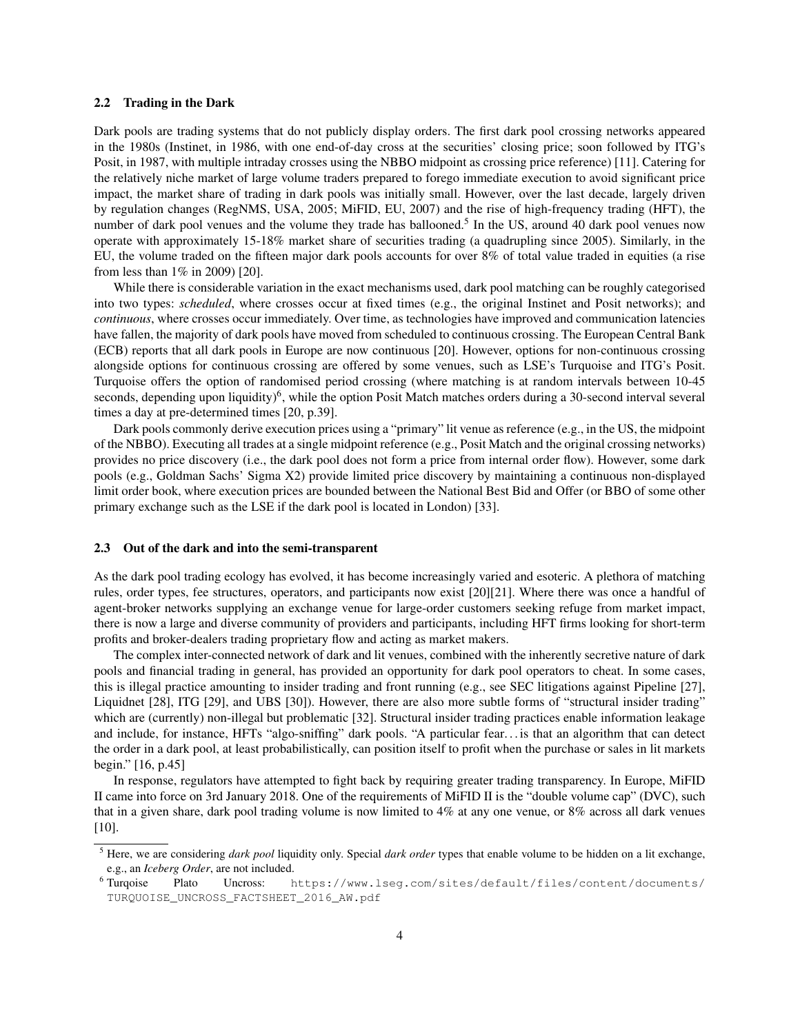#### 2.2 Trading in the Dark

Dark pools are trading systems that do not publicly display orders. The first dark pool crossing networks appeared in the 1980s (Instinet, in 1986, with one end-of-day cross at the securities' closing price; soon followed by ITG's Posit, in 1987, with multiple intraday crosses using the NBBO midpoint as crossing price reference) [11]. Catering for the relatively niche market of large volume traders prepared to forego immediate execution to avoid significant price impact, the market share of trading in dark pools was initially small. However, over the last decade, largely driven by regulation changes (RegNMS, USA, 2005; MiFID, EU, 2007) and the rise of high-frequency trading (HFT), the number of dark pool venues and the volume they trade has ballooned.<sup>5</sup> In the US, around 40 dark pool venues now operate with approximately 15-18% market share of securities trading (a quadrupling since 2005). Similarly, in the EU, the volume traded on the fifteen major dark pools accounts for over 8% of total value traded in equities (a rise from less than 1% in 2009) [20].

While there is considerable variation in the exact mechanisms used, dark pool matching can be roughly categorised into two types: *scheduled*, where crosses occur at fixed times (e.g., the original Instinet and Posit networks); and *continuous*, where crosses occur immediately. Over time, as technologies have improved and communication latencies have fallen, the majority of dark pools have moved from scheduled to continuous crossing. The European Central Bank (ECB) reports that all dark pools in Europe are now continuous [20]. However, options for non-continuous crossing alongside options for continuous crossing are offered by some venues, such as LSE's Turquoise and ITG's Posit. Turquoise offers the option of randomised period crossing (where matching is at random intervals between 10-45 seconds, depending upon liquidity)<sup>6</sup>, while the option Posit Match matches orders during a 30-second interval several times a day at pre-determined times [20, p.39].

Dark pools commonly derive execution prices using a "primary" lit venue as reference (e.g., in the US, the midpoint of the NBBO). Executing all trades at a single midpoint reference (e.g., Posit Match and the original crossing networks) provides no price discovery (i.e., the dark pool does not form a price from internal order flow). However, some dark pools (e.g., Goldman Sachs' Sigma X2) provide limited price discovery by maintaining a continuous non-displayed limit order book, where execution prices are bounded between the National Best Bid and Offer (or BBO of some other primary exchange such as the LSE if the dark pool is located in London) [33].

#### 2.3 Out of the dark and into the semi-transparent

As the dark pool trading ecology has evolved, it has become increasingly varied and esoteric. A plethora of matching rules, order types, fee structures, operators, and participants now exist [20][21]. Where there was once a handful of agent-broker networks supplying an exchange venue for large-order customers seeking refuge from market impact, there is now a large and diverse community of providers and participants, including HFT firms looking for short-term profits and broker-dealers trading proprietary flow and acting as market makers.

The complex inter-connected network of dark and lit venues, combined with the inherently secretive nature of dark pools and financial trading in general, has provided an opportunity for dark pool operators to cheat. In some cases, this is illegal practice amounting to insider trading and front running (e.g., see SEC litigations against Pipeline [27], Liquidnet [28], ITG [29], and UBS [30]). However, there are also more subtle forms of "structural insider trading" which are (currently) non-illegal but problematic [32]. Structural insider trading practices enable information leakage and include, for instance, HFTs "algo-sniffing" dark pools. "A particular fear. . . is that an algorithm that can detect the order in a dark pool, at least probabilistically, can position itself to profit when the purchase or sales in lit markets begin." [16, p.45]

In response, regulators have attempted to fight back by requiring greater trading transparency. In Europe, MiFID II came into force on 3rd January 2018. One of the requirements of MiFID II is the "double volume cap" (DVC), such that in a given share, dark pool trading volume is now limited to 4% at any one venue, or 8% across all dark venues [10].

<sup>5</sup> Here, we are considering *dark pool* liquidity only. Special *dark order* types that enable volume to be hidden on a lit exchange,

e.g., an *Iceberg Order*, are not included.<br><sup>6</sup> Turqoise Plato Uncross: Plato Uncross: https://www.lseg.com/sites/default/files/content/documents/ TURQUOISE\_UNCROSS\_FACTSHEET\_2016\_AW.pdf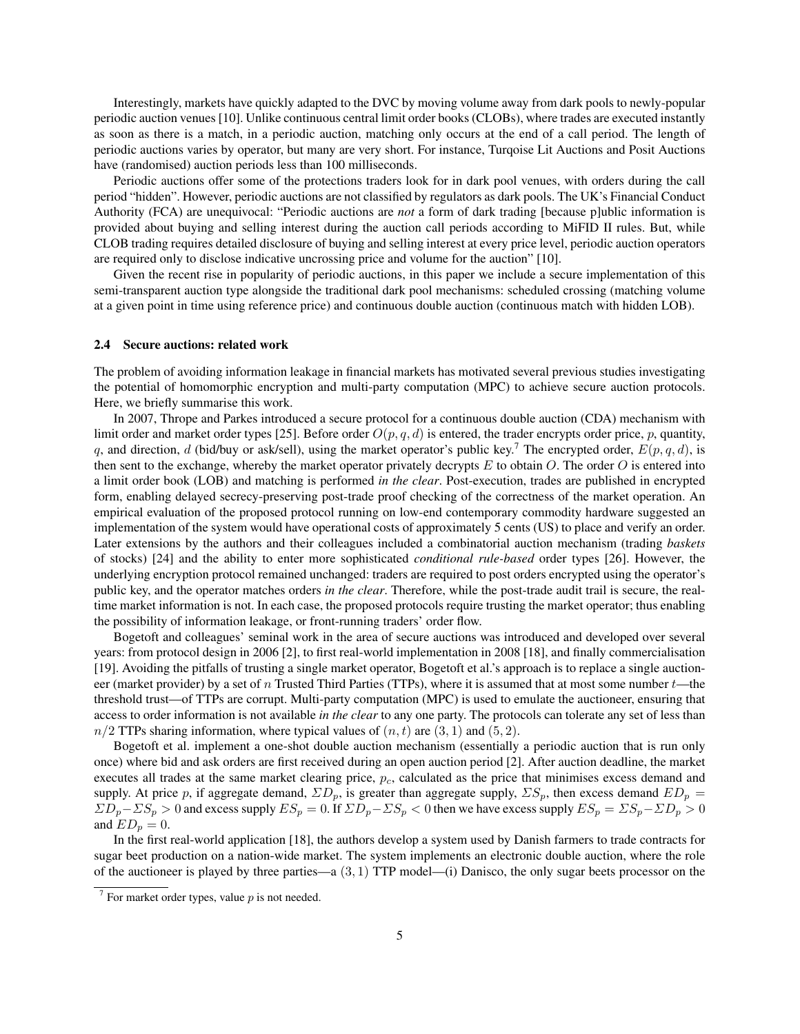Interestingly, markets have quickly adapted to the DVC by moving volume away from dark pools to newly-popular periodic auction venues [10]. Unlike continuous central limit order books (CLOBs), where trades are executed instantly as soon as there is a match, in a periodic auction, matching only occurs at the end of a call period. The length of periodic auctions varies by operator, but many are very short. For instance, Turqoise Lit Auctions and Posit Auctions have (randomised) auction periods less than 100 milliseconds.

Periodic auctions offer some of the protections traders look for in dark pool venues, with orders during the call period "hidden". However, periodic auctions are not classified by regulators as dark pools. The UK's Financial Conduct Authority (FCA) are unequivocal: "Periodic auctions are *not* a form of dark trading [because p]ublic information is provided about buying and selling interest during the auction call periods according to MiFID II rules. But, while CLOB trading requires detailed disclosure of buying and selling interest at every price level, periodic auction operators are required only to disclose indicative uncrossing price and volume for the auction" [10].

Given the recent rise in popularity of periodic auctions, in this paper we include a secure implementation of this semi-transparent auction type alongside the traditional dark pool mechanisms: scheduled crossing (matching volume at a given point in time using reference price) and continuous double auction (continuous match with hidden LOB).

#### 2.4 Secure auctions: related work

The problem of avoiding information leakage in financial markets has motivated several previous studies investigating the potential of homomorphic encryption and multi-party computation (MPC) to achieve secure auction protocols. Here, we briefly summarise this work.

In 2007, Thrope and Parkes introduced a secure protocol for a continuous double auction (CDA) mechanism with limit order and market order types [25]. Before order  $O(p, q, d)$  is entered, the trader encrypts order price, p, quantity, q, and direction, d (bid/buy or ask/sell), using the market operator's public key.<sup>7</sup> The encrypted order,  $E(p, q, d)$ , is then sent to the exchange, whereby the market operator privately decrypts  $E$  to obtain  $O$ . The order  $O$  is entered into a limit order book (LOB) and matching is performed *in the clear*. Post-execution, trades are published in encrypted form, enabling delayed secrecy-preserving post-trade proof checking of the correctness of the market operation. An empirical evaluation of the proposed protocol running on low-end contemporary commodity hardware suggested an implementation of the system would have operational costs of approximately 5 cents (US) to place and verify an order. Later extensions by the authors and their colleagues included a combinatorial auction mechanism (trading *baskets* of stocks) [24] and the ability to enter more sophisticated *conditional rule-based* order types [26]. However, the underlying encryption protocol remained unchanged: traders are required to post orders encrypted using the operator's public key, and the operator matches orders *in the clear*. Therefore, while the post-trade audit trail is secure, the realtime market information is not. In each case, the proposed protocols require trusting the market operator; thus enabling the possibility of information leakage, or front-running traders' order flow.

Bogetoft and colleagues' seminal work in the area of secure auctions was introduced and developed over several years: from protocol design in 2006 [2], to first real-world implementation in 2008 [18], and finally commercialisation [19]. Avoiding the pitfalls of trusting a single market operator, Bogetoft et al.'s approach is to replace a single auctioneer (market provider) by a set of n Trusted Third Parties (TTPs), where it is assumed that at most some number  $t$ —the threshold trust—of TTPs are corrupt. Multi-party computation (MPC) is used to emulate the auctioneer, ensuring that access to order information is not available *in the clear* to any one party. The protocols can tolerate any set of less than  $n/2$  TTPs sharing information, where typical values of  $(n, t)$  are  $(3, 1)$  and  $(5, 2)$ .

Bogetoft et al. implement a one-shot double auction mechanism (essentially a periodic auction that is run only once) where bid and ask orders are first received during an open auction period [2]. After auction deadline, the market executes all trades at the same market clearing price,  $p_c$ , calculated as the price that minimises excess demand and supply. At price p, if aggregate demand,  $\sum D_p$ , is greater than aggregate supply,  $\sum S_p$ , then excess demand  $ED_p$  =  $\sum D_p - \sum S_p > 0$  and excess supply  $ES_p = 0$ . If  $\Sigma D_p - \Sigma S_p < 0$  then we have excess supply  $ES_p = \Sigma S_p - \Sigma D_p > 0$ and  $ED_p = 0$ .

In the first real-world application [18], the authors develop a system used by Danish farmers to trade contracts for sugar beet production on a nation-wide market. The system implements an electronic double auction, where the role of the auctioneer is played by three parties—a  $(3, 1)$  TTP model— $(i)$  Danisco, the only sugar beets processor on the

 $^7$  For market order types, value p is not needed.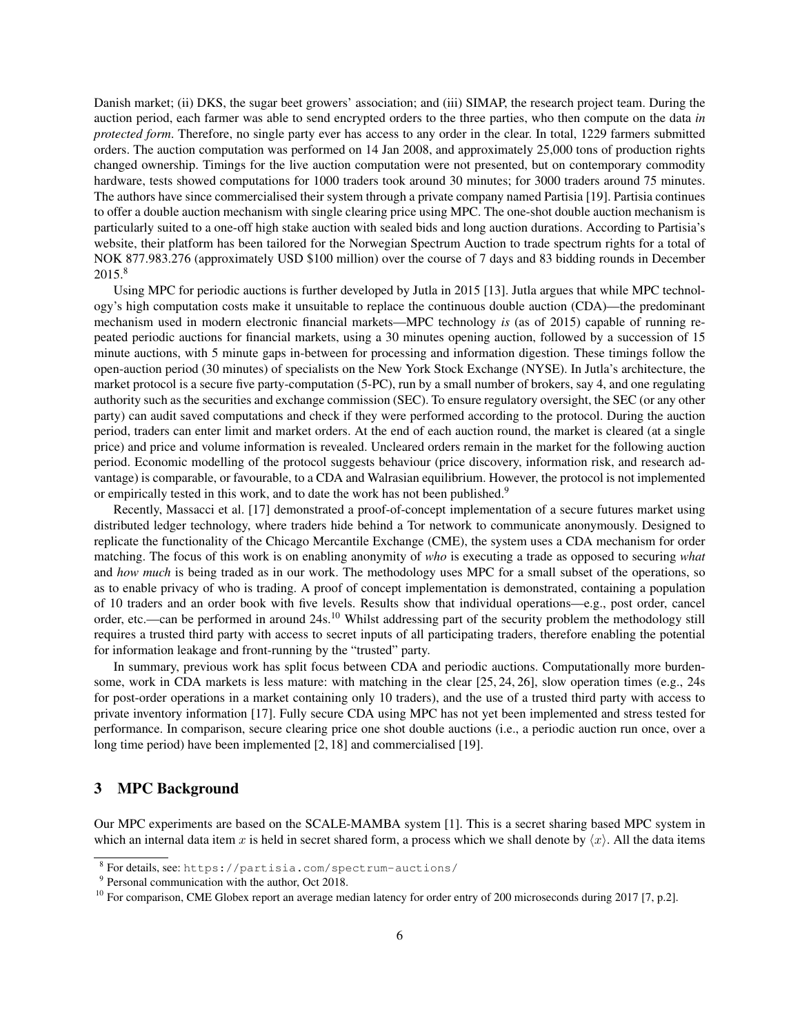Danish market; (ii) DKS, the sugar beet growers' association; and (iii) SIMAP, the research project team. During the auction period, each farmer was able to send encrypted orders to the three parties, who then compute on the data *in protected form*. Therefore, no single party ever has access to any order in the clear. In total, 1229 farmers submitted orders. The auction computation was performed on 14 Jan 2008, and approximately 25,000 tons of production rights changed ownership. Timings for the live auction computation were not presented, but on contemporary commodity hardware, tests showed computations for 1000 traders took around 30 minutes; for 3000 traders around 75 minutes. The authors have since commercialised their system through a private company named Partisia [19]. Partisia continues to offer a double auction mechanism with single clearing price using MPC. The one-shot double auction mechanism is particularly suited to a one-off high stake auction with sealed bids and long auction durations. According to Partisia's website, their platform has been tailored for the Norwegian Spectrum Auction to trade spectrum rights for a total of NOK 877.983.276 (approximately USD \$100 million) over the course of 7 days and 83 bidding rounds in December 2015.<sup>8</sup>

Using MPC for periodic auctions is further developed by Jutla in 2015 [13]. Jutla argues that while MPC technology's high computation costs make it unsuitable to replace the continuous double auction (CDA)—the predominant mechanism used in modern electronic financial markets—MPC technology *is* (as of 2015) capable of running repeated periodic auctions for financial markets, using a 30 minutes opening auction, followed by a succession of 15 minute auctions, with 5 minute gaps in-between for processing and information digestion. These timings follow the open-auction period (30 minutes) of specialists on the New York Stock Exchange (NYSE). In Jutla's architecture, the market protocol is a secure five party-computation (5-PC), run by a small number of brokers, say 4, and one regulating authority such as the securities and exchange commission (SEC). To ensure regulatory oversight, the SEC (or any other party) can audit saved computations and check if they were performed according to the protocol. During the auction period, traders can enter limit and market orders. At the end of each auction round, the market is cleared (at a single price) and price and volume information is revealed. Uncleared orders remain in the market for the following auction period. Economic modelling of the protocol suggests behaviour (price discovery, information risk, and research advantage) is comparable, or favourable, to a CDA and Walrasian equilibrium. However, the protocol is not implemented or empirically tested in this work, and to date the work has not been published.<sup>9</sup>

Recently, Massacci et al. [17] demonstrated a proof-of-concept implementation of a secure futures market using distributed ledger technology, where traders hide behind a Tor network to communicate anonymously. Designed to replicate the functionality of the Chicago Mercantile Exchange (CME), the system uses a CDA mechanism for order matching. The focus of this work is on enabling anonymity of *who* is executing a trade as opposed to securing *what* and *how much* is being traded as in our work. The methodology uses MPC for a small subset of the operations, so as to enable privacy of who is trading. A proof of concept implementation is demonstrated, containing a population of 10 traders and an order book with five levels. Results show that individual operations—e.g., post order, cancel order, etc.—can be performed in around 24s.<sup>10</sup> Whilst addressing part of the security problem the methodology still requires a trusted third party with access to secret inputs of all participating traders, therefore enabling the potential for information leakage and front-running by the "trusted" party.

In summary, previous work has split focus between CDA and periodic auctions. Computationally more burdensome, work in CDA markets is less mature: with matching in the clear [25, 24, 26], slow operation times (e.g., 24s for post-order operations in a market containing only 10 traders), and the use of a trusted third party with access to private inventory information [17]. Fully secure CDA using MPC has not yet been implemented and stress tested for performance. In comparison, secure clearing price one shot double auctions (i.e., a periodic auction run once, over a long time period) have been implemented [2, 18] and commercialised [19].

# 3 MPC Background

Our MPC experiments are based on the SCALE-MAMBA system [1]. This is a secret sharing based MPC system in which an internal data item x is held in secret shared form, a process which we shall denote by  $\langle x \rangle$ . All the data items

<sup>8</sup> For details, see: https://partisia.com/spectrum-auctions/

<sup>&</sup>lt;sup>9</sup> Personal communication with the author, Oct 2018.

<sup>&</sup>lt;sup>10</sup> For comparison, CME Globex report an average median latency for order entry of 200 microseconds during 2017 [7, p.2].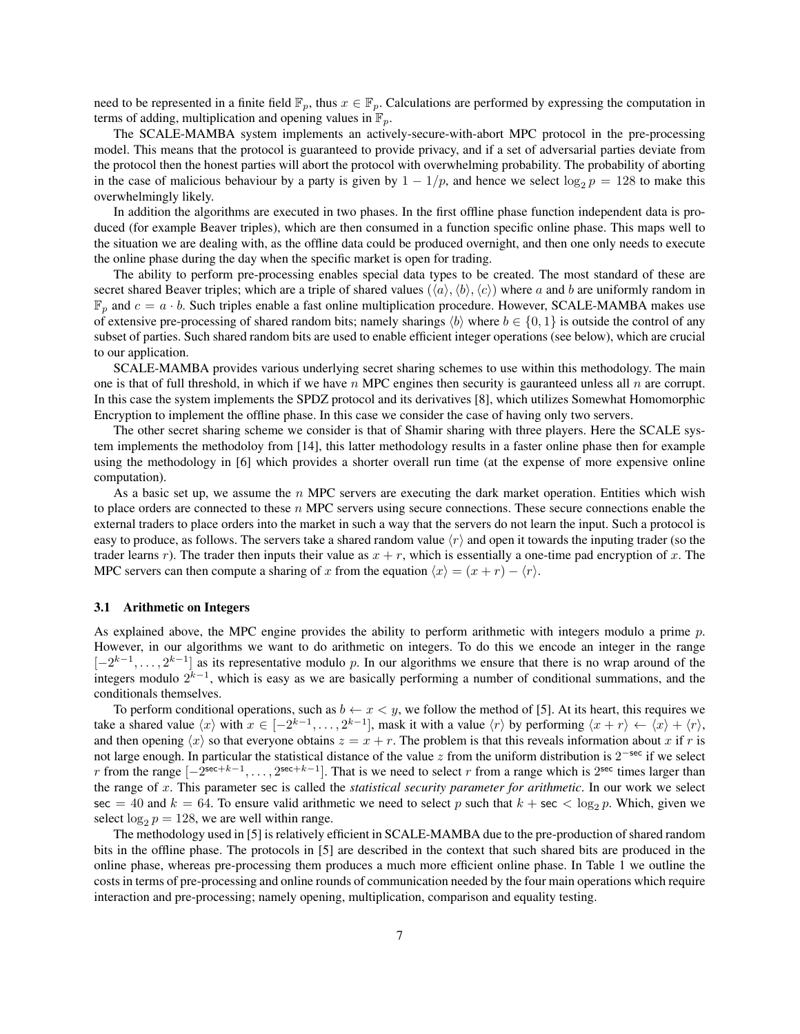need to be represented in a finite field  $\mathbb{F}_p$ , thus  $x \in \mathbb{F}_p$ . Calculations are performed by expressing the computation in terms of adding, multiplication and opening values in  $\mathbb{F}_p$ .

The SCALE-MAMBA system implements an actively-secure-with-abort MPC protocol in the pre-processing model. This means that the protocol is guaranteed to provide privacy, and if a set of adversarial parties deviate from the protocol then the honest parties will abort the protocol with overwhelming probability. The probability of aborting in the case of malicious behaviour by a party is given by  $1 - 1/p$ , and hence we select  $\log_2 p = 128$  to make this overwhelmingly likely.

In addition the algorithms are executed in two phases. In the first offline phase function independent data is produced (for example Beaver triples), which are then consumed in a function specific online phase. This maps well to the situation we are dealing with, as the offline data could be produced overnight, and then one only needs to execute the online phase during the day when the specific market is open for trading.

The ability to perform pre-processing enables special data types to be created. The most standard of these are secret shared Beaver triples; which are a triple of shared values  $(\langle a \rangle, \langle b \rangle, \langle c \rangle)$  where a and b are uniformly random in  $\mathbb{F}_p$  and  $c = a \cdot b$ . Such triples enable a fast online multiplication procedure. However, SCALE-MAMBA makes use of extensive pre-processing of shared random bits; namely sharings  $\langle b \rangle$  where  $b \in \{0, 1\}$  is outside the control of any subset of parties. Such shared random bits are used to enable efficient integer operations (see below), which are crucial to our application.

SCALE-MAMBA provides various underlying secret sharing schemes to use within this methodology. The main one is that of full threshold, in which if we have  $n$  MPC engines then security is gauranteed unless all  $n$  are corrupt. In this case the system implements the SPDZ protocol and its derivatives [8], which utilizes Somewhat Homomorphic Encryption to implement the offline phase. In this case we consider the case of having only two servers.

The other secret sharing scheme we consider is that of Shamir sharing with three players. Here the SCALE system implements the methodoloy from [14], this latter methodology results in a faster online phase then for example using the methodology in [6] which provides a shorter overall run time (at the expense of more expensive online computation).

As a basic set up, we assume the  $n$  MPC servers are executing the dark market operation. Entities which wish to place orders are connected to these  $n$  MPC servers using secure connections. These secure connections enable the external traders to place orders into the market in such a way that the servers do not learn the input. Such a protocol is easy to produce, as follows. The servers take a shared random value  $\langle r \rangle$  and open it towards the inputing trader (so the trader learns r). The trader then inputs their value as  $x + r$ , which is essentially a one-time pad encryption of x. The MPC servers can then compute a sharing of x from the equation  $\langle x \rangle = (x + r) - \langle r \rangle$ .

#### 3.1 Arithmetic on Integers

As explained above, the MPC engine provides the ability to perform arithmetic with integers modulo a prime p. However, in our algorithms we want to do arithmetic on integers. To do this we encode an integer in the range  $[-2^{k-1}, \ldots, 2^{k-1}]$  as its representative modulo p. In our algorithms we ensure that there is no wrap around of the integers modulo  $2^{k-1}$ , which is easy as we are basically performing a number of conditional summations, and the conditionals themselves.

To perform conditional operations, such as  $b \leftarrow x \leq y$ , we follow the method of [5]. At its heart, this requires we take a shared value  $\langle x \rangle$  with  $x \in [-2^{k-1}, \ldots, 2^{k-1}]$ , mask it with a value  $\langle r \rangle$  by performing  $\langle x + r \rangle \leftarrow \langle x \rangle + \langle r \rangle$ , and then opening  $\langle x \rangle$  so that everyone obtains  $z = x + r$ . The problem is that this reveals information about x if r is not large enough. In particular the statistical distance of the value z from the uniform distribution is  $2^{-\text{sec}}$  if we select r from the range  $[-2^{\sec+k-1}, \ldots, 2^{\sec+k-1}]$ . That is we need to select r from a range which is  $2^{\sec}$  times larger than the range of x. This parameter sec is called the *statistical security parameter for arithmetic*. In our work we select  $\sec = 40$  and  $k = 64$ . To ensure valid arithmetic we need to select p such that  $k + \sec < \log_2 p$ . Which, given we select  $\log_2 p = 128$ , we are well within range.

The methodology used in [5] is relatively efficient in SCALE-MAMBA due to the pre-production of shared random bits in the offline phase. The protocols in [5] are described in the context that such shared bits are produced in the online phase, whereas pre-processing them produces a much more efficient online phase. In Table 1 we outline the costs in terms of pre-processing and online rounds of communication needed by the four main operations which require interaction and pre-processing; namely opening, multiplication, comparison and equality testing.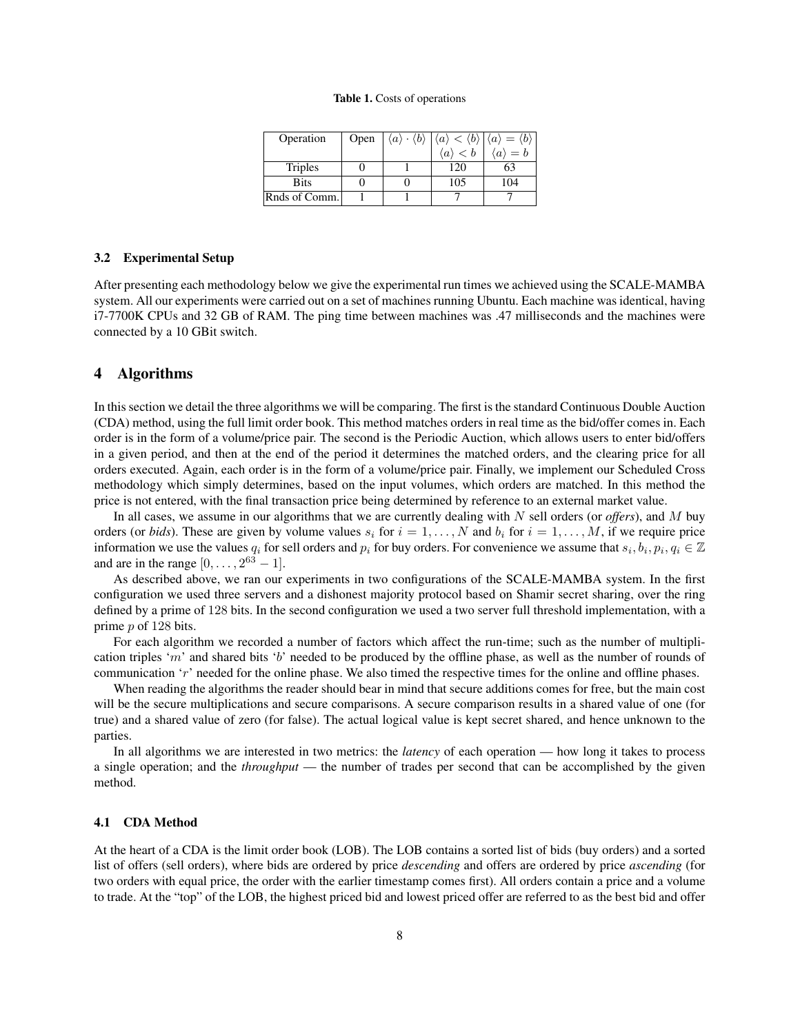#### Table 1. Costs of operations

| Operation      | Open | $\langle a \rangle \cdot \langle b \rangle$ | $ \langle a \rangle \langle b \rangle  \langle a \rangle = \langle b \rangle$ |                         |
|----------------|------|---------------------------------------------|-------------------------------------------------------------------------------|-------------------------|
|                |      |                                             | $\langle a \rangle < b$                                                       | $\langle a \rangle = b$ |
| <b>Triples</b> |      |                                             | 120                                                                           | 63                      |
| <b>Bits</b>    |      |                                             | 105                                                                           | 104                     |
| Rnds of Comm.  |      |                                             |                                                                               |                         |

#### 3.2 Experimental Setup

After presenting each methodology below we give the experimental run times we achieved using the SCALE-MAMBA system. All our experiments were carried out on a set of machines running Ubuntu. Each machine was identical, having i7-7700K CPUs and 32 GB of RAM. The ping time between machines was .47 milliseconds and the machines were connected by a 10 GBit switch.

### 4 Algorithms

In this section we detail the three algorithms we will be comparing. The first is the standard Continuous Double Auction (CDA) method, using the full limit order book. This method matches orders in real time as the bid/offer comes in. Each order is in the form of a volume/price pair. The second is the Periodic Auction, which allows users to enter bid/offers in a given period, and then at the end of the period it determines the matched orders, and the clearing price for all orders executed. Again, each order is in the form of a volume/price pair. Finally, we implement our Scheduled Cross methodology which simply determines, based on the input volumes, which orders are matched. In this method the price is not entered, with the final transaction price being determined by reference to an external market value.

In all cases, we assume in our algorithms that we are currently dealing with N sell orders (or *offers*), and M buy orders (or *bids*). These are given by volume values  $s_i$  for  $i = 1, \ldots, N$  and  $b_i$  for  $i = 1, \ldots, M$ , if we require price information we use the values  $q_i$  for sell orders and  $p_i$  for buy orders. For convenience we assume that  $s_i, b_i, p_i, q_i \in \mathbb{Z}$ and are in the range  $[0, ..., 2^{63} - 1]$ .

As described above, we ran our experiments in two configurations of the SCALE-MAMBA system. In the first configuration we used three servers and a dishonest majority protocol based on Shamir secret sharing, over the ring defined by a prime of 128 bits. In the second configuration we used a two server full threshold implementation, with a prime p of 128 bits.

For each algorithm we recorded a number of factors which affect the run-time; such as the number of multiplication triples 'm' and shared bits 'b' needed to be produced by the offline phase, as well as the number of rounds of communication 'r' needed for the online phase. We also timed the respective times for the online and offline phases.

When reading the algorithms the reader should bear in mind that secure additions comes for free, but the main cost will be the secure multiplications and secure comparisons. A secure comparison results in a shared value of one (for true) and a shared value of zero (for false). The actual logical value is kept secret shared, and hence unknown to the parties.

In all algorithms we are interested in two metrics: the *latency* of each operation — how long it takes to process a single operation; and the *throughput* — the number of trades per second that can be accomplished by the given method.

#### 4.1 CDA Method

At the heart of a CDA is the limit order book (LOB). The LOB contains a sorted list of bids (buy orders) and a sorted list of offers (sell orders), where bids are ordered by price *descending* and offers are ordered by price *ascending* (for two orders with equal price, the order with the earlier timestamp comes first). All orders contain a price and a volume to trade. At the "top" of the LOB, the highest priced bid and lowest priced offer are referred to as the best bid and offer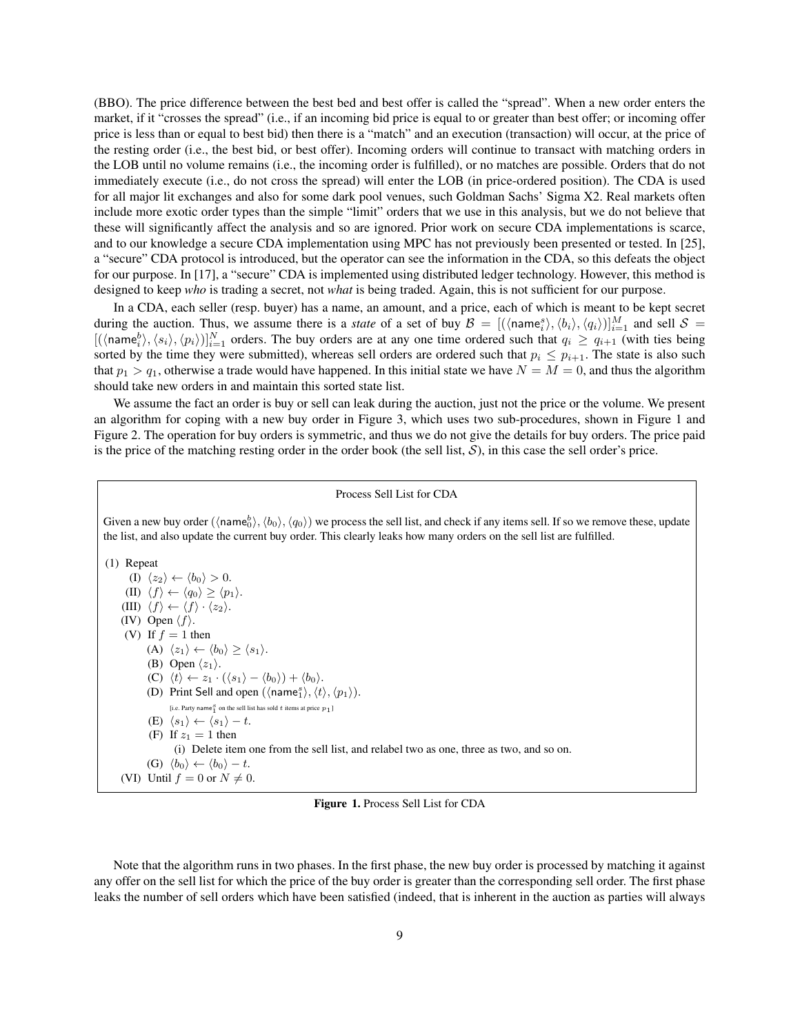(BBO). The price difference between the best bed and best offer is called the "spread". When a new order enters the market, if it "crosses the spread" (i.e., if an incoming bid price is equal to or greater than best offer; or incoming offer price is less than or equal to best bid) then there is a "match" and an execution (transaction) will occur, at the price of the resting order (i.e., the best bid, or best offer). Incoming orders will continue to transact with matching orders in the LOB until no volume remains (i.e., the incoming order is fulfilled), or no matches are possible. Orders that do not immediately execute (i.e., do not cross the spread) will enter the LOB (in price-ordered position). The CDA is used for all major lit exchanges and also for some dark pool venues, such Goldman Sachs' Sigma X2. Real markets often include more exotic order types than the simple "limit" orders that we use in this analysis, but we do not believe that these will significantly affect the analysis and so are ignored. Prior work on secure CDA implementations is scarce, and to our knowledge a secure CDA implementation using MPC has not previously been presented or tested. In [25], a "secure" CDA protocol is introduced, but the operator can see the information in the CDA, so this defeats the object for our purpose. In [17], a "secure" CDA is implemented using distributed ledger technology. However, this method is designed to keep *who* is trading a secret, not *what* is being traded. Again, this is not sufficient for our purpose.

In a CDA, each seller (resp. buyer) has a name, an amount, and a price, each of which is meant to be kept secret during the auction. Thus, we assume there is a *state* of a set of buy  $\mathcal{B} = [(\langle name_i^s \rangle, \langle b_i \rangle, \langle q_i \rangle)]_{i=1}^M$  and sell  $\mathcal{S} =$  $[(\langle name_i^b \rangle, \langle s_i \rangle, \langle p_i \rangle)]_{i=1}^N$  orders. The buy orders are at any one time ordered such that  $q_i \ge q_{i+1}$  (with ties being sorted by the time they were submitted), whereas sell orders are ordered such that  $p_i \leq p_{i+1}$ . The state is also such that  $p_1 > q_1$ , otherwise a trade would have happened. In this initial state we have  $N = M = 0$ , and thus the algorithm should take new orders in and maintain this sorted state list.

We assume the fact an order is buy or sell can leak during the auction, just not the price or the volume. We present an algorithm for coping with a new buy order in Figure 3, which uses two sub-procedures, shown in Figure 1 and Figure 2. The operation for buy orders is symmetric, and thus we do not give the details for buy orders. The price paid is the price of the matching resting order in the order book (the sell list,  $S$ ), in this case the sell order's price.

#### Process Sell List for CDA

Given a new buy order  $(\langle name_0^b \rangle, \langle b_0 \rangle, \langle q_0 \rangle)$  we process the sell list, and check if any items sell. If so we remove these, update the list, and also update the current buy order. This clearly leaks how many orders on the sell list are fulfilled.

(1) Repeat

(I)  $\langle z_2 \rangle \leftarrow \langle b_0 \rangle > 0.$ (II)  $\langle f \rangle \leftarrow \langle q_0 \rangle \geq \langle p_1 \rangle.$ (III)  $\langle f \rangle \leftarrow \langle f \rangle \cdot \langle z_2 \rangle.$ (IV) Open  $\langle f \rangle$ . (V) If  $f = 1$  then (A)  $\langle z_1 \rangle \leftarrow \langle b_0 \rangle \ge \langle s_1 \rangle$ . (B) Open  $\langle z_1 \rangle$ . (C)  $\langle t \rangle \leftarrow z_1 \cdot (\langle s_1 \rangle - \langle b_0 \rangle) + \langle b_0 \rangle.$ (D) Print Sell and open  $(\langle name_1^s \rangle, \langle t \rangle, \langle p_1 \rangle)$ . [i.e. Party name $\frac{s}{1}$  on the sell list has sold  $t$  items at price  $p_1$ ] (E)  $\langle s_1 \rangle \leftarrow \langle s_1 \rangle - t$ . (F) If  $z_1 = 1$  then (i) Delete item one from the sell list, and relabel two as one, three as two, and so on.  $(G) \langle b_0 \rangle \leftarrow \langle b_0 \rangle - t.$ (VI) Until  $f = 0$  or  $N \neq 0$ .

Figure 1. Process Sell List for CDA

Note that the algorithm runs in two phases. In the first phase, the new buy order is processed by matching it against any offer on the sell list for which the price of the buy order is greater than the corresponding sell order. The first phase leaks the number of sell orders which have been satisfied (indeed, that is inherent in the auction as parties will always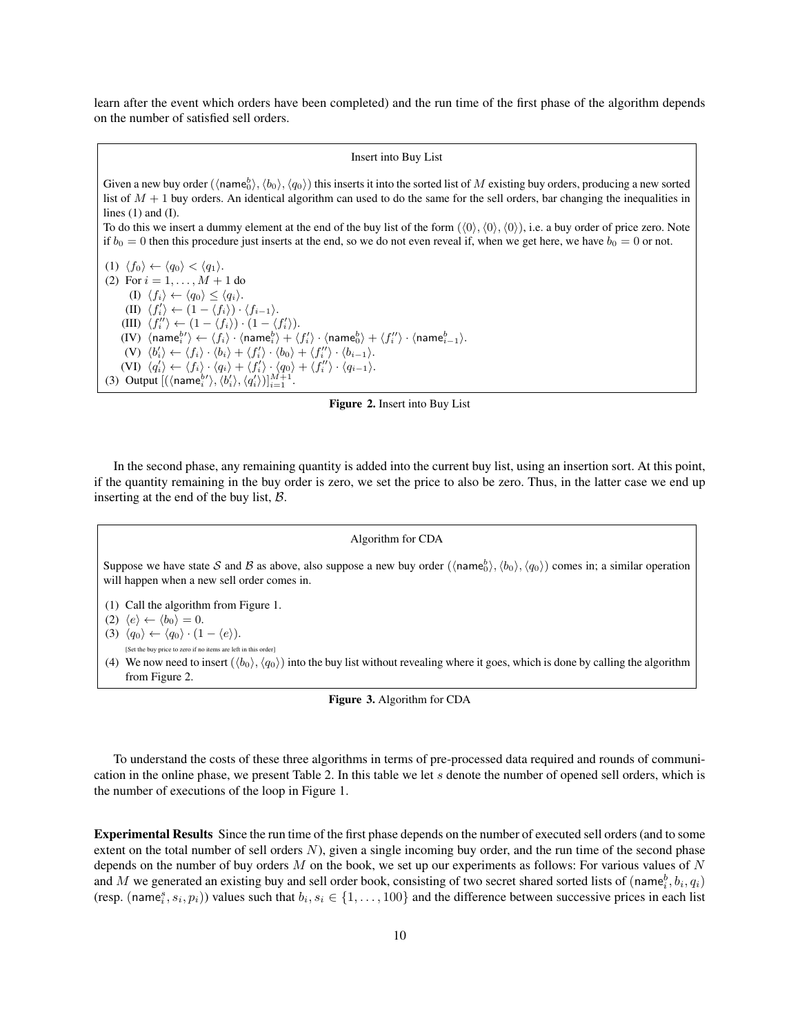learn after the event which orders have been completed) and the run time of the first phase of the algorithm depends on the number of satisfied sell orders.

#### Insert into Buy List

Given a new buy order  $(\langle \textsf{name}_0^b \rangle, \langle b_0 \rangle, \langle q_0 \rangle)$  this inserts it into the sorted list of M existing buy orders, producing a new sorted list of  $M + 1$  buy orders. An identical algorithm can used to do the same for the sell orders, bar changing the inequalities in lines  $(1)$  and  $(I)$ . To do this we insert a dummy element at the end of the buy list of the form  $(\langle 0 \rangle, \langle 0 \rangle, \langle 0 \rangle)$ , i.e. a buy order of price zero. Note if  $b_0 = 0$  then this procedure just inserts at the end, so we do not even reveal if, when we get here, we have  $b_0 = 0$  or not. (1)  $\langle f_0 \rangle \leftarrow \langle q_0 \rangle \langle q_1 \rangle$ . (2) For  $i = 1, ..., M + 1$  do (I)  $\langle f_i \rangle \leftarrow \langle q_0 \rangle \leq \langle q_i \rangle$ . (II)  $\langle f'_i \rangle \leftarrow (1 - \langle f_i \rangle) \cdot \langle f_{i-1} \rangle.$ (III)  $\langle f''_i \rangle \leftarrow (1 - \langle f_i \rangle) \cdot (1 - \langle f'_i \rangle).$  $\langle \text{IV)} \ \ \langle \textsf{name}_i^{b \prime} \rangle \leftarrow \langle f_i \rangle \cdot \langle \textsf{name}_i^{b} \rangle + \langle f_i' \rangle \cdot \langle \textsf{name}_0^{b} \rangle + \langle f_i'' \rangle \cdot \langle \textsf{name}_{i-1}^{b} \rangle.$ (V)  $\langle b'_i \rangle \leftarrow \langle f_i \rangle \cdot \langle b_i \rangle + \langle f'_i \rangle \cdot \langle b_0 \rangle + \langle f''_i \rangle \cdot \langle b_{i-1} \rangle.$ (VI)  $\langle q'_i \rangle \leftarrow \langle f_i \rangle \cdot \langle q_i \rangle + \langle f'_i \rangle \cdot \langle q_0 \rangle + \langle f''_i \rangle \cdot \langle q_{i-1} \rangle.$ (3) Output  $[(\langle name_i^{b'} \rangle, \langle b'_i \rangle, \langle q'_i \rangle)]_{i=1}^{M+1}$ .

Figure 2. Insert into Buy List

In the second phase, any remaining quantity is added into the current buy list, using an insertion sort. At this point, if the quantity remaining in the buy order is zero, we set the price to also be zero. Thus, in the latter case we end up inserting at the end of the buy list, B.

#### Algorithm for CDA

Suppose we have state S and B as above, also suppose a new buy order  $(\langle name_0^b \rangle, \langle b_0 \rangle, \langle q_0 \rangle)$  comes in; a similar operation will happen when a new sell order comes in.

(1) Call the algorithm from Figure 1.

$$
(2) \langle e \rangle \leftarrow \langle b_0 \rangle = 0.
$$

$$
(3) \langle q_0 \rangle \leftarrow \langle q_0 \rangle \cdot (1 - \langle e \rangle).
$$

[Set the buy price to zero if no items are left in this order] (4) We now need to insert  $(\langle b_0 \rangle, \langle q_0 \rangle)$  into the buy list without revealing where it goes, which is done by calling the algorithm from Figure 2.

Figure 3. Algorithm for CDA

To understand the costs of these three algorithms in terms of pre-processed data required and rounds of communication in the online phase, we present Table 2. In this table we let s denote the number of opened sell orders, which is the number of executions of the loop in Figure 1.

Experimental Results Since the run time of the first phase depends on the number of executed sell orders (and to some extent on the total number of sell orders  $N$ ), given a single incoming buy order, and the run time of the second phase depends on the number of buy orders  $M$  on the book, we set up our experiments as follows: For various values of  $N$ and M we generated an existing buy and sell order book, consisting of two secret shared sorted lists of (name $_i^b$ ,  $b_i$ ,  $q_i$ ) (resp. (name<sub>i</sub>, s<sub>i</sub>, p<sub>i</sub>)) values such that  $b_i$ ,  $s_i \in \{1, ..., 100\}$  and the difference between successive prices in each list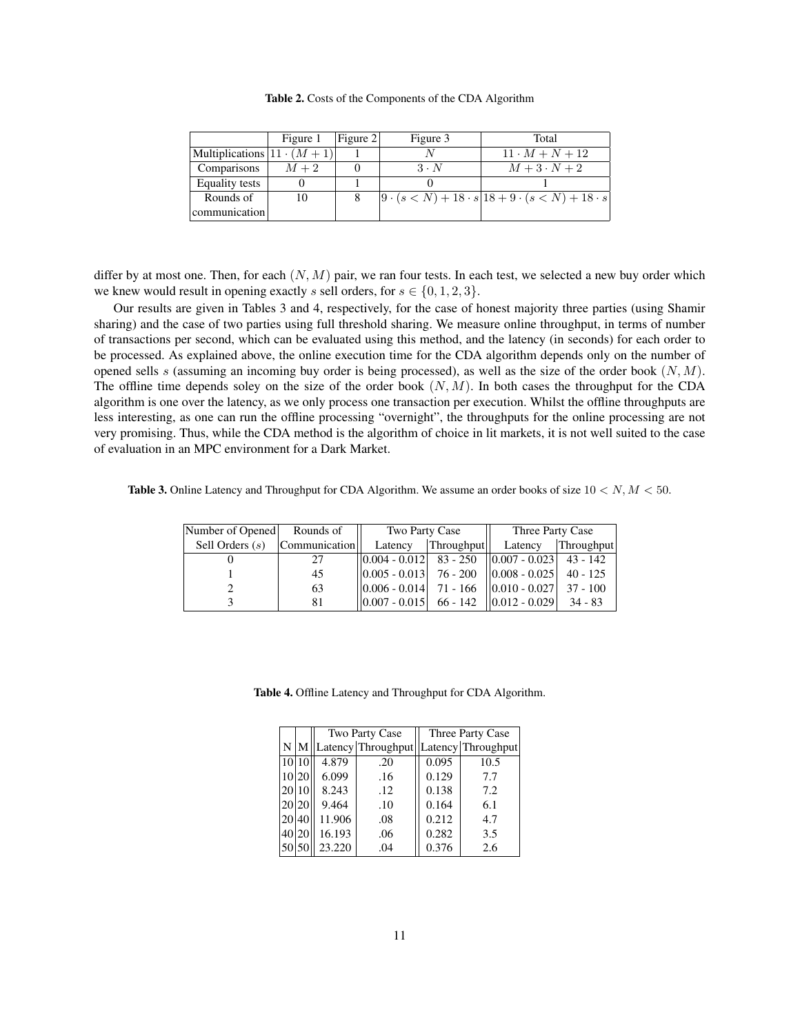Table 2. Costs of the Components of the CDA Algorithm

|                                    | Figure 1 | Figure 2 | Figure 3    | Total                                                              |
|------------------------------------|----------|----------|-------------|--------------------------------------------------------------------|
| Multiplications $ 11 \cdot (M+1) $ |          |          |             | $11 \cdot M + N + 12$                                              |
| Comparisons                        | $M+2$    |          | $3 \cdot N$ | $M+3\cdot N+2$                                                     |
| Equality tests                     |          |          |             |                                                                    |
| Rounds of                          | 10       |          |             | $ 9 \cdot (s < N) + 18 \cdot s 18 + 9 \cdot (s < N) + 18 \cdot s $ |
| communication                      |          |          |             |                                                                    |

differ by at most one. Then, for each  $(N, M)$  pair, we ran four tests. In each test, we selected a new buy order which we knew would result in opening exactly s sell orders, for  $s \in \{0, 1, 2, 3\}$ .

Our results are given in Tables 3 and 4, respectively, for the case of honest majority three parties (using Shamir sharing) and the case of two parties using full threshold sharing. We measure online throughput, in terms of number of transactions per second, which can be evaluated using this method, and the latency (in seconds) for each order to be processed. As explained above, the online execution time for the CDA algorithm depends only on the number of opened sells s (assuming an incoming buy order is being processed), as well as the size of the order book  $(N, M)$ . The offline time depends soley on the size of the order book  $(N, M)$ . In both cases the throughput for the CDA algorithm is one over the latency, as we only process one transaction per execution. Whilst the offline throughputs are less interesting, as one can run the offline processing "overnight", the throughputs for the online processing are not very promising. Thus, while the CDA method is the algorithm of choice in lit markets, it is not well suited to the case of evaluation in an MPC environment for a Dark Market.

**Table 3.** Online Latency and Throughput for CDA Algorithm. We assume an order books of size  $10 < N, M < 50$ .

| Number of Opened Rounds of |               | Two Party Case                                                                  |                      | Three Party Case |                    |  |
|----------------------------|---------------|---------------------------------------------------------------------------------|----------------------|------------------|--------------------|--|
| Sell Orders $(s)$          | Communication |                                                                                 | Latency   Throughput |                  | Latency Throughput |  |
|                            | 27            | $\vert 0.004 - 0.012 \vert 83 - 250 \vert 0.007 - 0.023 \vert 43 - 142 \vert$   |                      |                  |                    |  |
|                            | 45            | $\left  0.005 - 0.013 \right $ 76 - 200 $\left  0.008 - 0.025 \right $ 40 - 125 |                      |                  |                    |  |
|                            | 63            | $\left  0.006 - 0.014 \right $ 71 - 166 $\left  0.010 - 0.027 \right $ 37 - 100 |                      |                  |                    |  |
|                            | 81            | $\vert 0.007 - 0.015 \vert 66 - 142 \vert 0.012 - 0.029 \vert$                  |                      |                  | $34 - 83$          |  |

Table 4. Offline Latency and Throughput for CDA Algorithm.

|     |       |        | Two Party Case                                             | Three Party Case |      |  |
|-----|-------|--------|------------------------------------------------------------|------------------|------|--|
|     |       |        | $N \left  M \right $ Latency Throughput Latency Throughput |                  |      |  |
|     | 10 10 | 4.879  | .20                                                        | 0.095            | 10.5 |  |
|     | 10 20 | 6.099  | .16                                                        | 0.129            | 7.7  |  |
|     | 20 10 | 8.243  | .12                                                        | 0.138            | 7.2  |  |
|     | 20 20 | 9.464  | .10                                                        | 0.164            | 6.1  |  |
|     | 20 40 | 11.906 | .08                                                        | 0.212            | 4.7  |  |
| 401 | 20    | 16.193 | .06                                                        | 0.282            | 3.5  |  |
|     |       | 23.220 | .04                                                        | 0.376            | 2.6  |  |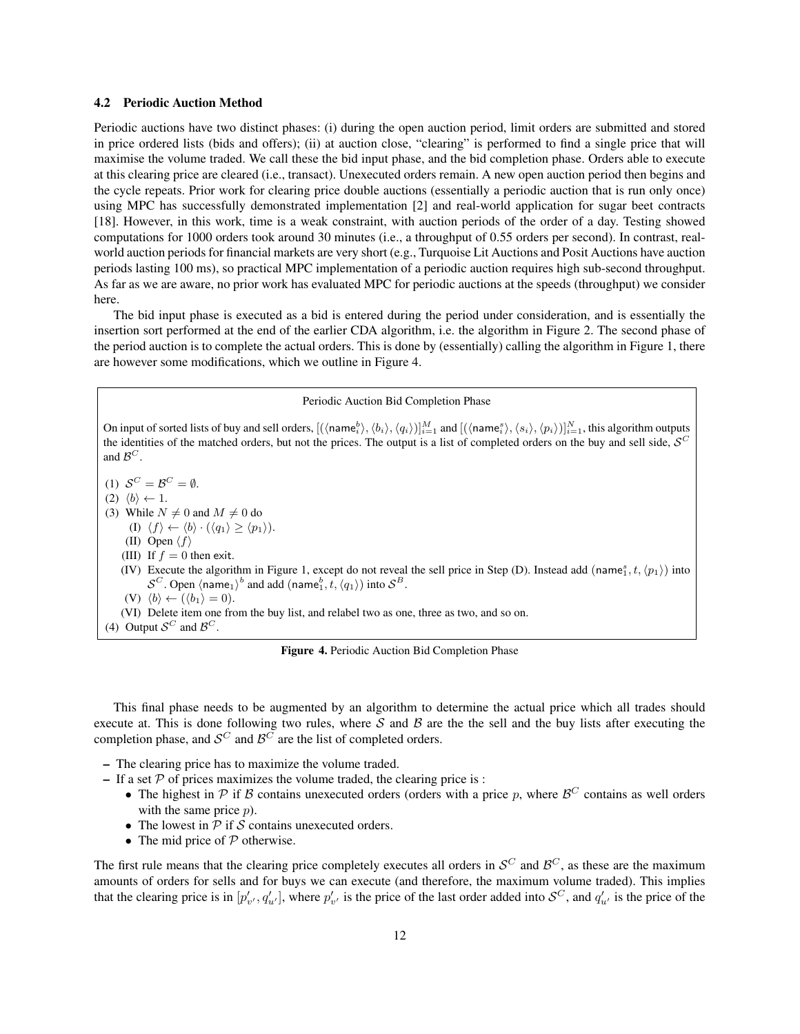#### 4.2 Periodic Auction Method

Periodic auctions have two distinct phases: (i) during the open auction period, limit orders are submitted and stored in price ordered lists (bids and offers); (ii) at auction close, "clearing" is performed to find a single price that will maximise the volume traded. We call these the bid input phase, and the bid completion phase. Orders able to execute at this clearing price are cleared (i.e., transact). Unexecuted orders remain. A new open auction period then begins and the cycle repeats. Prior work for clearing price double auctions (essentially a periodic auction that is run only once) using MPC has successfully demonstrated implementation [2] and real-world application for sugar beet contracts [18]. However, in this work, time is a weak constraint, with auction periods of the order of a day. Testing showed computations for 1000 orders took around 30 minutes (i.e., a throughput of 0.55 orders per second). In contrast, realworld auction periods for financial markets are very short (e.g., Turquoise Lit Auctions and Posit Auctions have auction periods lasting 100 ms), so practical MPC implementation of a periodic auction requires high sub-second throughput. As far as we are aware, no prior work has evaluated MPC for periodic auctions at the speeds (throughput) we consider here.

The bid input phase is executed as a bid is entered during the period under consideration, and is essentially the insertion sort performed at the end of the earlier CDA algorithm, i.e. the algorithm in Figure 2. The second phase of the period auction is to complete the actual orders. This is done by (essentially) calling the algorithm in Figure 1, there are however some modifications, which we outline in Figure 4.

#### Periodic Auction Bid Completion Phase

On input of sorted lists of buy and sell orders,  $[(\langle \textsf{name}_i^b, \langle b_i \rangle, \langle q_i \rangle)]_{i=1}^M$  and  $[(\langle \textsf{name}_i^s \rangle, \langle s_i \rangle, \langle p_i \rangle)]_{i=1}^N$ , this algorithm outputs the identities of the matched orders, but not the prices. The output is a list of completed orders on the buy and sell side,  $S<sup>C</sup>$ and  $\mathcal{B}^C$ .

- (1)  $S^C = B^C = \emptyset$ .
- $(2) \langle b \rangle \leftarrow 1$ .
- (3) While  $N \neq 0$  and  $M \neq 0$  do
	- (I)  $\langle f \rangle \leftarrow \langle b \rangle \cdot (\langle q_1 \rangle \geq \langle p_1 \rangle).$
	- (II) Open  $\langle f \rangle$
	- (III) If  $f = 0$  then exit.
	- (IV) Execute the algorithm in Figure 1, except do not reveal the sell price in Step (D). Instead add (name<sub>1</sub>,  $t,$   $\langle p_1 \rangle$ ) into  $\mathcal{S}^C.$  Open  $\langle$ name $_1 \rangle^b$  and add  $(\mathsf{name}_1^b,t,\langle q_1 \rangle)$  into  $\mathcal{S}^B.$
	- (V)  $\langle b \rangle \leftarrow (\langle b_1 \rangle = 0).$
	- (VI) Delete item one from the buy list, and relabel two as one, three as two, and so on.
- (4) Output  $S^C$  and  $B^C$ .

Figure 4. Periodic Auction Bid Completion Phase

This final phase needs to be augmented by an algorithm to determine the actual price which all trades should execute at. This is done following two rules, where  $S$  and  $B$  are the the sell and the buy lists after executing the completion phase, and  $S^C$  and  $\mathcal{B}^C$  are the list of completed orders.

- The clearing price has to maximize the volume traded.
- $-$  If a set  $P$  of prices maximizes the volume traded, the clearing price is :
	- The highest in  $P$  if  $B$  contains unexecuted orders (orders with a price p, where  $B^C$  contains as well orders with the same price  $p$ ).
	- The lowest in  $P$  if  $S$  contains unexecuted orders.
	- The mid price of  $P$  otherwise.

The first rule means that the clearing price completely executes all orders in  $\mathcal{S}^C$  and  $\mathcal{B}^C$ , as these are the maximum amounts of orders for sells and for buys we can execute (and therefore, the maximum volume traded). This implies that the clearing price is in  $[p'_v, q'_{u'}]$ , where  $p'_{v'}$  is the price of the last order added into  $\mathcal{S}^C$ , and  $q'_{u'}$  is the price of the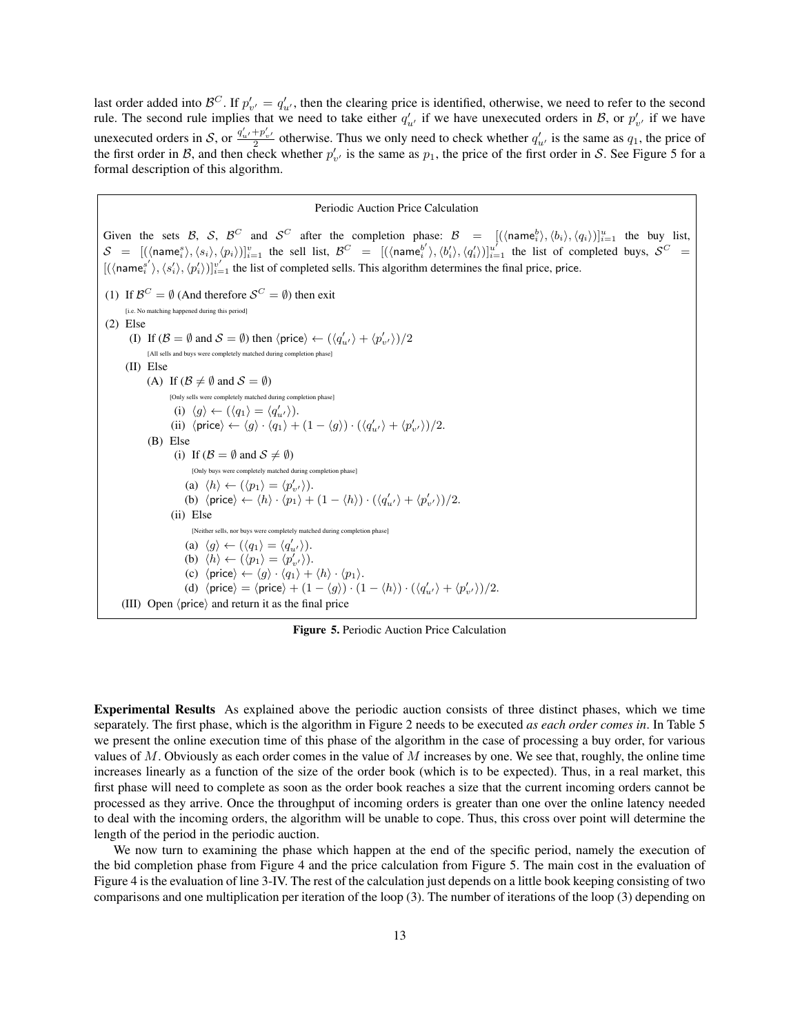last order added into  $\mathcal{B}^C$ . If  $p'_{v'} = q'_{u'}$ , then the clearing price is identified, otherwise, we need to refer to the second rule. The second rule implies that we need to take either  $q'_{u'}$  if we have unexecuted orders in  $B$ , or  $p'_{v'}$  if we have unexecuted orders in S, or  $\frac{q'_u + p'_v}{2}$  otherwise. Thus we only need to check whether  $q'_u$  is the same as  $q_1$ , the price of the first order in B, and then check whether  $p'_v$  is the same as  $p_1$ , the price of the first order in S. See Figure 5 for a formal description of this algorithm.

#### Periodic Auction Price Calculation

Given the sets B, S,  $\mathcal{B}^C$  and  $\mathcal{S}^C$  after the completion phase:  $\mathcal{B} = [(\langle name_i^b \rangle, \langle b_i \rangle, \langle q_i \rangle)]_{i=1}^u$  the buy list,  $S = [(\langle name_i^s \rangle, \langle s_i \rangle, \langle p_i \rangle)]_{i=1}^v$  the sell list,  $\mathcal{B}^C = [(\langle name_i^{b'} \rangle, \langle b_i' \rangle, \langle q_i' \rangle)]_{i=1}^{u'}$  the list of completed buys,  $\mathcal{S}^C =$  $[(\langle name_i^{s'}\rangle, \langle s_i' \rangle, \langle p_i' \rangle)]_{i=1}^{v'}$  the list of completed sells. This algorithm determines the final price, price. (1) If  $\mathcal{B}^C = \emptyset$  (And therefore  $\mathcal{S}^C = \emptyset$ ) then exit [i.e. No matching happened during this period] (2) Else (I) If  $(\mathcal{B} = \emptyset \text{ and } \mathcal{S} = \emptyset)$  then  $\langle \text{price} \rangle \leftarrow (\langle q'_{u'} \rangle + \langle p'_{v'} \rangle)/2$ [All sells and buys were completely matched during completion phase] (II) Else (A) If  $(\mathcal{B} \neq \emptyset \text{ and } \mathcal{S} = \emptyset)$ [Only sells were completely matched during completion phase] (i)  $\langle g \rangle \leftarrow (\langle q_1 \rangle = \langle q'_{u'} \rangle).$ (ii)  $\langle \text{price} \rangle \leftarrow \langle g \rangle \cdot \langle q_1 \rangle + (1 - \langle g \rangle) \cdot (\langle q'_{u'} \rangle + \langle p'_{v'} \rangle)/2.$ (B) Else (i) If  $(\mathcal{B} = \emptyset \text{ and } \mathcal{S} \neq \emptyset)$ [Only buys were completely matched during completion phase] (a)  $\langle h \rangle \leftarrow (\langle p_1 \rangle = \langle p'_{v'} \rangle).$ (b)  $\langle \text{price} \rangle \leftarrow \langle h \rangle \cdot \langle p_1 \rangle + (1 - \langle h \rangle) \cdot (\langle q'_{u'} \rangle + \langle p'_{v'} \rangle)/2.$ (ii) Else [Neither sells, nor buys were completely matched during completion phase] (a)  $\langle g \rangle \leftarrow (\langle q_1 \rangle = \langle q'_{u'} \rangle).$ (b)  $\langle h \rangle \leftarrow (\langle p_1 \rangle = \langle p'_{v'} \rangle).$ (c)  $\langle$  price $\rangle \leftarrow \langle g \rangle \cdot \langle q_1 \rangle + \langle h \rangle \cdot \langle p_1 \rangle$ . (d)  $\langle \text{price} \rangle = \langle \text{price} \rangle + (1 - \langle g \rangle) \cdot (1 - \langle h \rangle) \cdot (\langle q'_{u'} \rangle + \langle p'_{v'} \rangle)/2.$ (III) Open  $\langle$  price $\rangle$  and return it as the final price

Figure 5. Periodic Auction Price Calculation

Experimental Results As explained above the periodic auction consists of three distinct phases, which we time separately. The first phase, which is the algorithm in Figure 2 needs to be executed *as each order comes in*. In Table 5 we present the online execution time of this phase of the algorithm in the case of processing a buy order, for various values of M. Obviously as each order comes in the value of M increases by one. We see that, roughly, the online time increases linearly as a function of the size of the order book (which is to be expected). Thus, in a real market, this first phase will need to complete as soon as the order book reaches a size that the current incoming orders cannot be processed as they arrive. Once the throughput of incoming orders is greater than one over the online latency needed to deal with the incoming orders, the algorithm will be unable to cope. Thus, this cross over point will determine the length of the period in the periodic auction.

We now turn to examining the phase which happen at the end of the specific period, namely the execution of the bid completion phase from Figure 4 and the price calculation from Figure 5. The main cost in the evaluation of Figure 4 is the evaluation of line 3-IV. The rest of the calculation just depends on a little book keeping consisting of two comparisons and one multiplication per iteration of the loop (3). The number of iterations of the loop (3) depending on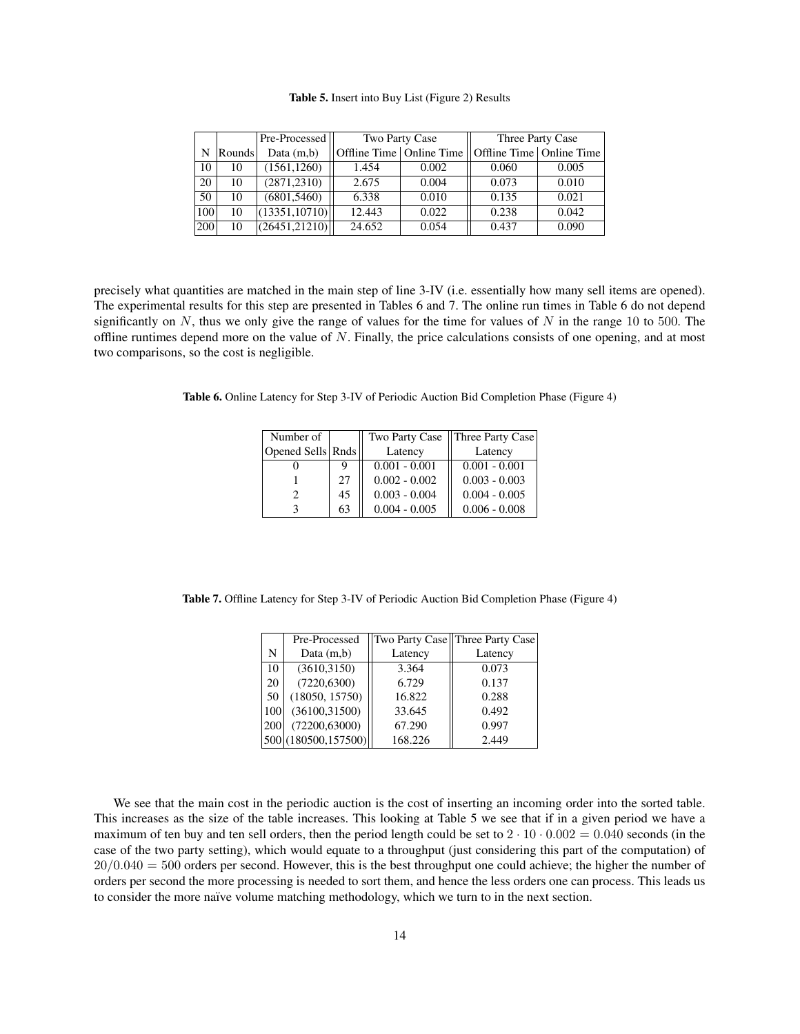|               |        | Pre-Processed  |                                                         | Two Party Case | Three Party Case |       |  |
|---------------|--------|----------------|---------------------------------------------------------|----------------|------------------|-------|--|
| N             | Rounds | Data $(m,b)$   | Offline Time   Online Time   Offline Time   Online Time |                |                  |       |  |
| 10            | 10     | (1561, 1260)   | 1.454                                                   | 0.002          | 0.060            | 0.005 |  |
| 20            | 10     | (2871, 2310)   | 2.675                                                   | 0.004          | 0.073            | 0.010 |  |
| 50            | 10     | (6801, 5460)   | 6.338                                                   | 0.010          | 0.135            | 0.021 |  |
| $100^{\circ}$ | 10     | (13351, 10710) | 12.443                                                  | 0.022          | 0.238            | 0.042 |  |
| 200           | 10     | (26451,21210)  | 24.652                                                  | 0.054          | 0.437            | 0.090 |  |

Table 5. Insert into Buy List (Figure 2) Results

precisely what quantities are matched in the main step of line 3-IV (i.e. essentially how many sell items are opened). The experimental results for this step are presented in Tables 6 and 7. The online run times in Table 6 do not depend significantly on  $N$ , thus we only give the range of values for the time for values of  $N$  in the range 10 to 500. The offline runtimes depend more on the value of N. Finally, the price calculations consists of one opening, and at most two comparisons, so the cost is negligible.

Table 6. Online Latency for Step 3-IV of Periodic Auction Bid Completion Phase (Figure 4)

| Number of         |    |                 | Two Party Case    Three Party Case |
|-------------------|----|-----------------|------------------------------------|
| Opened Sells Rnds |    | Latency         | Latency                            |
|                   | 9  | $0.001 - 0.001$ | $0.001 - 0.001$                    |
|                   | 27 | $0.002 - 0.002$ | $0.003 - 0.003$                    |
|                   | 45 | $0.003 - 0.004$ | $0.004 - 0.005$                    |
|                   | 63 | $0.004 - 0.005$ | $0.006 - 0.008$                    |

Table 7. Offline Latency for Step 3-IV of Periodic Auction Bid Completion Phase (Figure 4)

|     | Pre-Processed        |         | Two Party Case  Three Party Case |
|-----|----------------------|---------|----------------------------------|
| N   | Data $(m,b)$         | Latency | Latency                          |
| 10  | (3610, 3150)         | 3.364   | 0.073                            |
| 20  | (7220, 6300)         | 6.729   | 0.137                            |
| 50  | (18050, 15750)       | 16.822  | 0.288                            |
| 100 | (36100, 31500)       | 33.645  | 0.492                            |
| 200 | (72200, 63000)       | 67.290  | 0.997                            |
|     | 500 (180500, 157500) | 168.226 | 2.449                            |

We see that the main cost in the periodic auction is the cost of inserting an incoming order into the sorted table. This increases as the size of the table increases. This looking at Table 5 we see that if in a given period we have a maximum of ten buy and ten sell orders, then the period length could be set to  $2 \cdot 10 \cdot 0.002 = 0.040$  seconds (in the case of the two party setting), which would equate to a throughput (just considering this part of the computation) of  $20/0.040 = 500$  orders per second. However, this is the best throughput one could achieve; the higher the number of orders per second the more processing is needed to sort them, and hence the less orders one can process. This leads us to consider the more naïve volume matching methodology, which we turn to in the next section.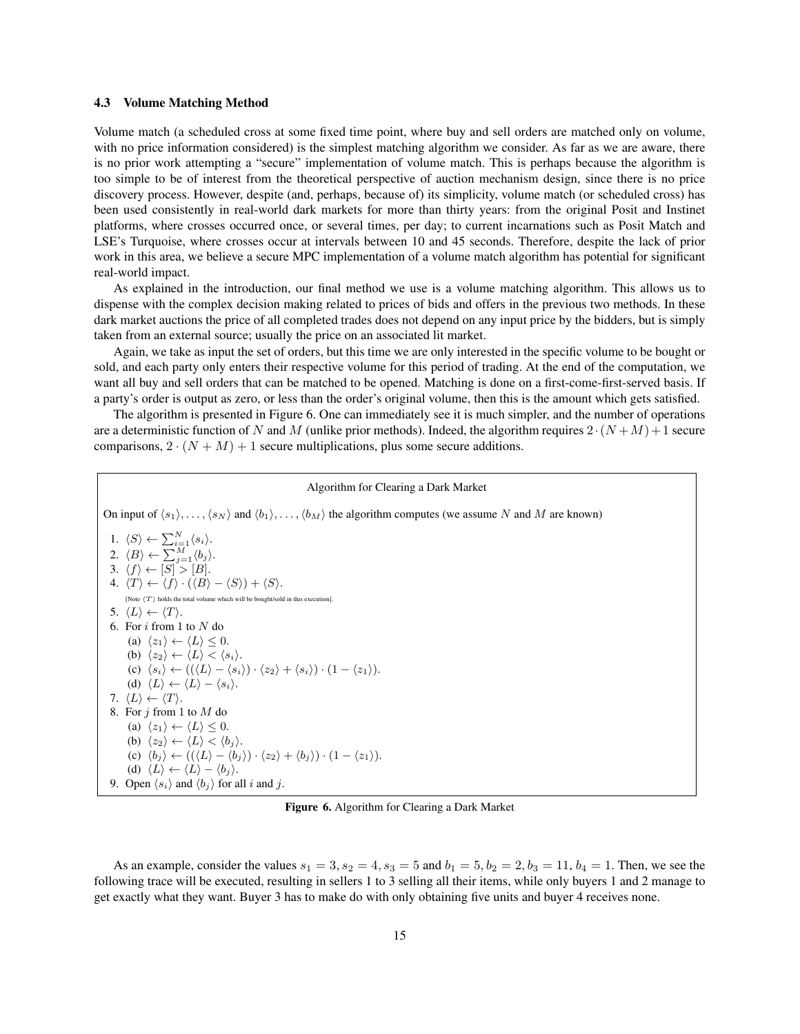#### 4.3 Volume Matching Method

Volume match (a scheduled cross at some fixed time point, where buy and sell orders are matched only on volume, with no price information considered) is the simplest matching algorithm we consider. As far as we are aware, there is no prior work attempting a "secure" implementation of volume match. This is perhaps because the algorithm is too simple to be of interest from the theoretical perspective of auction mechanism design, since there is no price discovery process. However, despite (and, perhaps, because of) its simplicity, volume match (or scheduled cross) has been used consistently in real-world dark markets for more than thirty years: from the original Posit and Instinet platforms, where crosses occurred once, or several times, per day; to current incarnations such as Posit Match and LSE's Turquoise, where crosses occur at intervals between 10 and 45 seconds. Therefore, despite the lack of prior work in this area, we believe a secure MPC implementation of a volume match algorithm has potential for significant real-world impact.

As explained in the introduction, our final method we use is a volume matching algorithm. This allows us to dispense with the complex decision making related to prices of bids and offers in the previous two methods. In these dark market auctions the price of all completed trades does not depend on any input price by the bidders, but is simply taken from an external source; usually the price on an associated lit market.

Again, we take as input the set of orders, but this time we are only interested in the specific volume to be bought or sold, and each party only enters their respective volume for this period of trading. At the end of the computation, we want all buy and sell orders that can be matched to be opened. Matching is done on a first-come-first-served basis. If a party's order is output as zero, or less than the order's original volume, then this is the amount which gets satisfied.

The algorithm is presented in Figure 6. One can immediately see it is much simpler, and the number of operations are a deterministic function of N and M (unlike prior methods). Indeed, the algorithm requires  $2 \cdot (N + M) + 1$  secure comparisons,  $2 \cdot (N + M) + 1$  secure multiplications, plus some secure additions.

### Algorithm for Clearing a Dark Market

On input of  $\langle s_1 \rangle, \ldots, \langle s_N \rangle$  and  $\langle b_1 \rangle, \ldots, \langle b_M \rangle$  the algorithm computes (we assume N and M are known) 1.  $\langle S \rangle \leftarrow \sum_{i=1}^{N} \langle s_i \rangle$ . 2.  $\langle B \rangle \leftarrow \sum_{j=1}^{M} \langle b_j \rangle$ . 3.  $\langle f \rangle \leftarrow [S] > [B].$ 4.  $\langle T \rangle \leftarrow \langle f \rangle \cdot (\langle B \rangle - \langle S \rangle) + \langle S \rangle.$ [Note  $\langle T \rangle$  holds the total volume which will be bought/sold in this execution]. 5.  $\langle L \rangle \leftarrow \langle T \rangle$ . 6. For  $i$  from  $1$  to  $N$  do (a)  $\langle z_1 \rangle \leftarrow \langle L \rangle \leq 0.$ (b)  $\langle z_2 \rangle \leftarrow \langle L \rangle \langle s_i \rangle$ . (c)  $\langle s_i \rangle \leftarrow ((\langle L \rangle - \langle s_i \rangle) \cdot \langle z_2 \rangle + \langle s_i \rangle) \cdot (1 - \langle z_1 \rangle).$ (d)  $\langle L \rangle \leftarrow \langle L \rangle - \langle s_i \rangle$ . 7.  $\langle L \rangle \leftarrow \langle T \rangle$ .

8. For  $j$  from 1 to  $M$  do (a)  $\langle z_1 \rangle \leftarrow \langle L \rangle \leq 0.$ (b)  $\langle z_2 \rangle \leftarrow \langle L \rangle < \langle b_j \rangle$ . (c)  $\langle b_j \rangle \leftarrow ((\langle L \rangle - \langle b_j \rangle) \cdot \langle z_2 \rangle + \langle b_j \rangle) \cdot (1 - \langle z_1 \rangle).$ (d)  $\langle L \rangle \leftarrow \langle L \rangle - \langle b_j \rangle$ . 9. Open  $\langle s_i \rangle$  and  $\langle b_j \rangle$  for all i and j.

Figure 6. Algorithm for Clearing a Dark Market

As an example, consider the values  $s_1 = 3$ ,  $s_2 = 4$ ,  $s_3 = 5$  and  $b_1 = 5$ ,  $b_2 = 2$ ,  $b_3 = 11$ ,  $b_4 = 1$ . Then, we see the following trace will be executed, resulting in sellers 1 to 3 selling all their items, while only buyers 1 and 2 manage to get exactly what they want. Buyer 3 has to make do with only obtaining five units and buyer 4 receives none.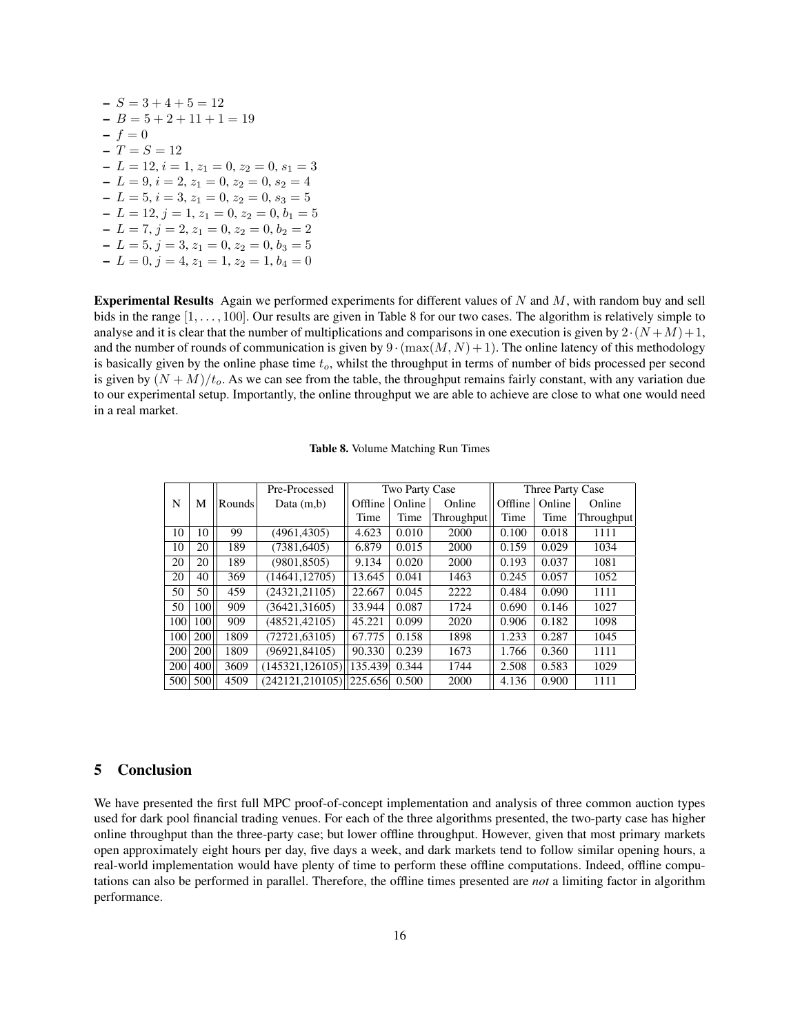| $-S=3+4+5=12$                               |
|---------------------------------------------|
| $-B=5+2+11+1=19$                            |
| $- f = 0$                                   |
| $-T = S = 12$                               |
| $-L = 12, i = 1, z_1 = 0, z_2 = 0, s_1 = 3$ |
| $-L = 9, i = 2, z_1 = 0, z_2 = 0, s_2 = 4$  |
| $-L = 5, i = 3, z_1 = 0, z_2 = 0, s_3 = 5$  |
| $-L = 12, j = 1, z_1 = 0, z_2 = 0, b_1 = 5$ |
| $-L = 7, j = 2, z_1 = 0, z_2 = 0, b_2 = 2$  |
| $-L = 5, j = 3, z_1 = 0, z_2 = 0, b_3 = 5$  |
| $-L = 0, j = 4, z_1 = 1, z_2 = 1, b_4 = 0$  |

**Experimental Results** Again we performed experiments for different values of  $N$  and  $M$ , with random buy and sell bids in the range  $[1, \ldots, 100]$ . Our results are given in Table 8 for our two cases. The algorithm is relatively simple to analyse and it is clear that the number of multiplications and comparisons in one execution is given by  $2 \cdot (N + M) + 1$ , and the number of rounds of communication is given by  $9 \cdot (\max(M, N) + 1)$ . The online latency of this methodology is basically given by the online phase time  $t<sub>o</sub>$ , whilst the throughput in terms of number of bids processed per second is given by  $(N + M)/t_o$ . As we can see from the table, the throughput remains fairly constant, with any variation due to our experimental setup. Importantly, the online throughput we are able to achieve are close to what one would need in a real market.

|     |     |        | Pre-Processed                |         | Two Party Case |            | Three Party Case |        |            |
|-----|-----|--------|------------------------------|---------|----------------|------------|------------------|--------|------------|
| N   | М   | Rounds | Data $(m,b)$                 | Offline | Online         | Online     | Offline          | Online | Online     |
|     |     |        |                              | Time    | Time           | Throughput | Time             | Time   | Throughput |
| 10  | 10  | 99     | (4961, 4305)                 | 4.623   | 0.010          | 2000       | 0.100            | 0.018  | 1111       |
| 10  | 20  | 189    | (7381, 6405)                 | 6.879   | 0.015          | 2000       | 0.159            | 0.029  | 1034       |
| 20  | 20  | 189    | (9801.8505)                  | 9.134   | 0.020          | 2000       | 0.193            | 0.037  | 1081       |
| 20  | 40  | 369    | (14641.12705)                | 13.645  | 0.041          | 1463       | 0.245            | 0.057  | 1052       |
| 50  | 50  | 459    | (24321.21105)                | 22.667  | 0.045          | 2222       | 0.484            | 0.090  | 1111       |
| 50  | 100 | 909    | (36421, 31605)               | 33.944  | 0.087          | 1724       | 0.690            | 0.146  | 1027       |
| 100 | 100 | 909    | (48521.42105)                | 45.221  | 0.099          | 2020       | 0.906            | 0.182  | 1098       |
| 100 | 200 | 1809   | (72721.63105)                | 67.775  | 0.158          | 1898       | 1.233            | 0.287  | 1045       |
| 200 | 200 | 1809   | (96921, 84105)               | 90.330  | 0.239          | 1673       | 1.766            | 0.360  | 1111       |
| 200 | 400 | 3609   | (145321, 126105)             | 135.439 | 0.344          | 1744       | 2.508            | 0.583  | 1029       |
| 500 | 500 | 4509   | $(242121, 210105)$   225.656 |         | 0.500          | 2000       | 4.136            | 0.900  | 1111       |

### 5 Conclusion

We have presented the first full MPC proof-of-concept implementation and analysis of three common auction types used for dark pool financial trading venues. For each of the three algorithms presented, the two-party case has higher online throughput than the three-party case; but lower offline throughput. However, given that most primary markets open approximately eight hours per day, five days a week, and dark markets tend to follow similar opening hours, a real-world implementation would have plenty of time to perform these offline computations. Indeed, offline computations can also be performed in parallel. Therefore, the offline times presented are *not* a limiting factor in algorithm performance.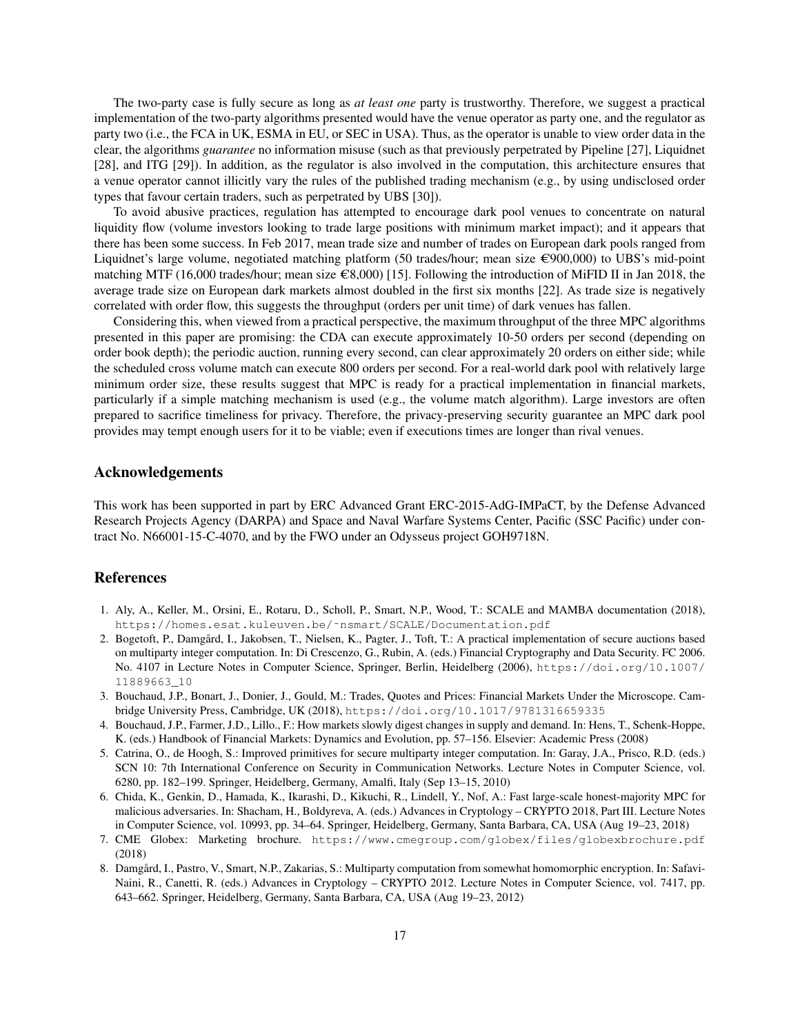The two-party case is fully secure as long as *at least one* party is trustworthy. Therefore, we suggest a practical implementation of the two-party algorithms presented would have the venue operator as party one, and the regulator as party two (i.e., the FCA in UK, ESMA in EU, or SEC in USA). Thus, as the operator is unable to view order data in the clear, the algorithms *guarantee* no information misuse (such as that previously perpetrated by Pipeline [27], Liquidnet [28], and ITG [29]). In addition, as the regulator is also involved in the computation, this architecture ensures that a venue operator cannot illicitly vary the rules of the published trading mechanism (e.g., by using undisclosed order types that favour certain traders, such as perpetrated by UBS [30]).

To avoid abusive practices, regulation has attempted to encourage dark pool venues to concentrate on natural liquidity flow (volume investors looking to trade large positions with minimum market impact); and it appears that there has been some success. In Feb 2017, mean trade size and number of trades on European dark pools ranged from Liquidnet's large volume, negotiated matching platform (50 trades/hour; mean size C900,000) to UBS's mid-point matching MTF (16,000 trades/hour; mean size  $\epsilon$ 8,000) [15]. Following the introduction of MiFID II in Jan 2018, the average trade size on European dark markets almost doubled in the first six months [22]. As trade size is negatively correlated with order flow, this suggests the throughput (orders per unit time) of dark venues has fallen.

Considering this, when viewed from a practical perspective, the maximum throughput of the three MPC algorithms presented in this paper are promising: the CDA can execute approximately 10-50 orders per second (depending on order book depth); the periodic auction, running every second, can clear approximately 20 orders on either side; while the scheduled cross volume match can execute 800 orders per second. For a real-world dark pool with relatively large minimum order size, these results suggest that MPC is ready for a practical implementation in financial markets, particularly if a simple matching mechanism is used (e.g., the volume match algorithm). Large investors are often prepared to sacrifice timeliness for privacy. Therefore, the privacy-preserving security guarantee an MPC dark pool provides may tempt enough users for it to be viable; even if executions times are longer than rival venues.

### Acknowledgements

This work has been supported in part by ERC Advanced Grant ERC-2015-AdG-IMPaCT, by the Defense Advanced Research Projects Agency (DARPA) and Space and Naval Warfare Systems Center, Pacific (SSC Pacific) under contract No. N66001-15-C-4070, and by the FWO under an Odysseus project GOH9718N.

# References

- 1. Aly, A., Keller, M., Orsini, E., Rotaru, D., Scholl, P., Smart, N.P., Wood, T.: SCALE and MAMBA documentation (2018), https://homes.esat.kuleuven.be/˜nsmart/SCALE/Documentation.pdf
- 2. Bogetoft, P., Damgård, I., Jakobsen, T., Nielsen, K., Pagter, J., Toft, T.: A practical implementation of secure auctions based on multiparty integer computation. In: Di Crescenzo, G., Rubin, A. (eds.) Financial Cryptography and Data Security. FC 2006. No. 4107 in Lecture Notes in Computer Science, Springer, Berlin, Heidelberg (2006), https://doi.org/10.1007/ 11889663\_10
- 3. Bouchaud, J.P., Bonart, J., Donier, J., Gould, M.: Trades, Quotes and Prices: Financial Markets Under the Microscope. Cambridge University Press, Cambridge, UK (2018), https://doi.org/10.1017/9781316659335
- 4. Bouchaud, J.P., Farmer, J.D., Lillo., F.: How markets slowly digest changes in supply and demand. In: Hens, T., Schenk-Hoppe, K. (eds.) Handbook of Financial Markets: Dynamics and Evolution, pp. 57–156. Elsevier: Academic Press (2008)
- 5. Catrina, O., de Hoogh, S.: Improved primitives for secure multiparty integer computation. In: Garay, J.A., Prisco, R.D. (eds.) SCN 10: 7th International Conference on Security in Communication Networks. Lecture Notes in Computer Science, vol. 6280, pp. 182–199. Springer, Heidelberg, Germany, Amalfi, Italy (Sep 13–15, 2010)
- 6. Chida, K., Genkin, D., Hamada, K., Ikarashi, D., Kikuchi, R., Lindell, Y., Nof, A.: Fast large-scale honest-majority MPC for malicious adversaries. In: Shacham, H., Boldyreva, A. (eds.) Advances in Cryptology – CRYPTO 2018, Part III. Lecture Notes in Computer Science, vol. 10993, pp. 34–64. Springer, Heidelberg, Germany, Santa Barbara, CA, USA (Aug 19–23, 2018)
- 7. CME Globex: Marketing brochure. https://www.cmegroup.com/globex/files/globexbrochure.pdf (2018)
- 8. Damgård, I., Pastro, V., Smart, N.P., Zakarias, S.: Multiparty computation from somewhat homomorphic encryption. In: Safavi-Naini, R., Canetti, R. (eds.) Advances in Cryptology – CRYPTO 2012. Lecture Notes in Computer Science, vol. 7417, pp. 643–662. Springer, Heidelberg, Germany, Santa Barbara, CA, USA (Aug 19–23, 2012)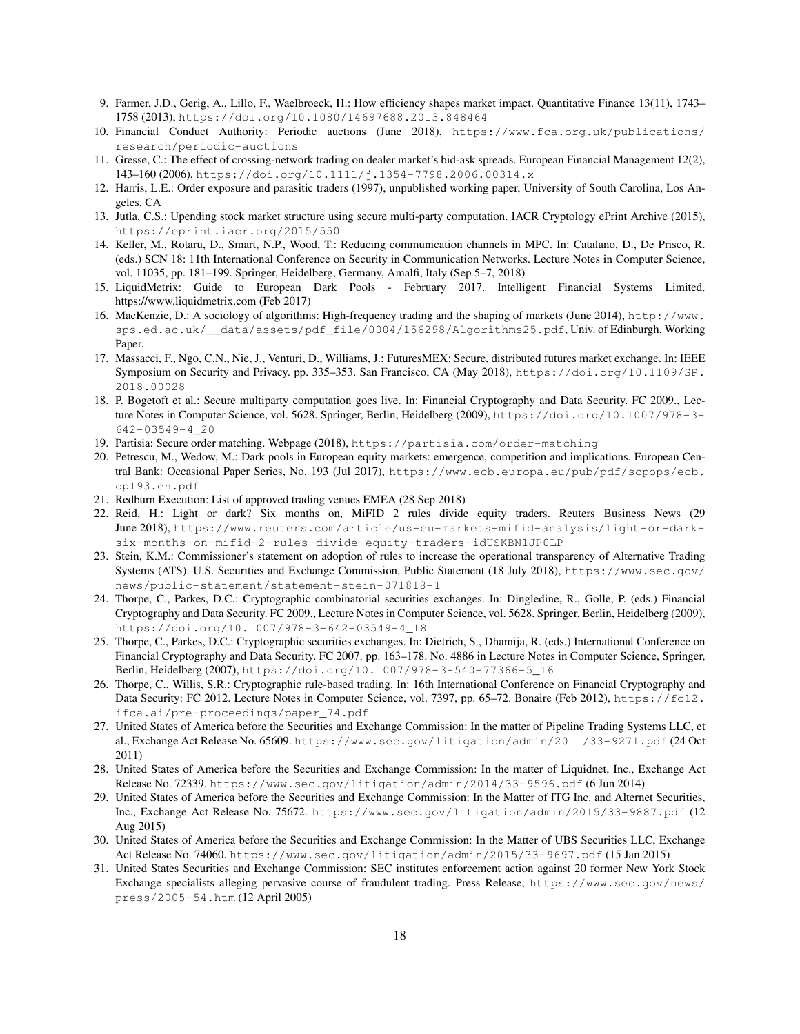- 9. Farmer, J.D., Gerig, A., Lillo, F., Waelbroeck, H.: How efficiency shapes market impact. Quantitative Finance 13(11), 1743– 1758 (2013), https://doi.org/10.1080/14697688.2013.848464
- 10. Financial Conduct Authority: Periodic auctions (June 2018), https://www.fca.org.uk/publications/ research/periodic-auctions
- 11. Gresse, C.: The effect of crossing-network trading on dealer market's bid-ask spreads. European Financial Management 12(2), 143–160 (2006), https://doi.org/10.1111/j.1354-7798.2006.00314.x
- 12. Harris, L.E.: Order exposure and parasitic traders (1997), unpublished working paper, University of South Carolina, Los Angeles, CA
- 13. Jutla, C.S.: Upending stock market structure using secure multi-party computation. IACR Cryptology ePrint Archive (2015), https://eprint.iacr.org/2015/550
- 14. Keller, M., Rotaru, D., Smart, N.P., Wood, T.: Reducing communication channels in MPC. In: Catalano, D., De Prisco, R. (eds.) SCN 18: 11th International Conference on Security in Communication Networks. Lecture Notes in Computer Science, vol. 11035, pp. 181–199. Springer, Heidelberg, Germany, Amalfi, Italy (Sep 5–7, 2018)
- 15. LiquidMetrix: Guide to European Dark Pools February 2017. Intelligent Financial Systems Limited. https://www.liquidmetrix.com (Feb 2017)
- 16. MacKenzie, D.: A sociology of algorithms: High-frequency trading and the shaping of markets (June 2014), http://www. sps.ed.ac.uk/\_\_data/assets/pdf\_file/0004/156298/Algorithms25.pdf, Univ. of Edinburgh, Working Paper.
- 17. Massacci, F., Ngo, C.N., Nie, J., Venturi, D., Williams, J.: FuturesMEX: Secure, distributed futures market exchange. In: IEEE Symposium on Security and Privacy. pp. 335–353. San Francisco, CA (May 2018), https://doi.org/10.1109/SP. 2018.00028
- 18. P. Bogetoft et al.: Secure multiparty computation goes live. In: Financial Cryptography and Data Security. FC 2009., Lecture Notes in Computer Science, vol. 5628. Springer, Berlin, Heidelberg (2009), https://doi.org/10.1007/978-3- 642-03549-4\_20
- 19. Partisia: Secure order matching. Webpage (2018), https://partisia.com/order-matching
- 20. Petrescu, M., Wedow, M.: Dark pools in European equity markets: emergence, competition and implications. European Central Bank: Occasional Paper Series, No. 193 (Jul 2017), https://www.ecb.europa.eu/pub/pdf/scpops/ecb. op193.en.pdf
- 21. Redburn Execution: List of approved trading venues EMEA (28 Sep 2018)
- 22. Reid, H.: Light or dark? Six months on, MiFID 2 rules divide equity traders. Reuters Business News (29 June 2018), https://www.reuters.com/article/us-eu-markets-mifid-analysis/light-or-darksix-months-on-mifid-2-rules-divide-equity-traders-idUSKBN1JP0LP
- 23. Stein, K.M.: Commissioner's statement on adoption of rules to increase the operational transparency of Alternative Trading Systems (ATS). U.S. Securities and Exchange Commission, Public Statement (18 July 2018), https://www.sec.gov/ news/public-statement/statement-stein-071818-1
- 24. Thorpe, C., Parkes, D.C.: Cryptographic combinatorial securities exchanges. In: Dingledine, R., Golle, P. (eds.) Financial Cryptography and Data Security. FC 2009., Lecture Notes in Computer Science, vol. 5628. Springer, Berlin, Heidelberg (2009), https://doi.org/10.1007/978-3-642-03549-4\_18
- 25. Thorpe, C., Parkes, D.C.: Cryptographic securities exchanges. In: Dietrich, S., Dhamija, R. (eds.) International Conference on Financial Cryptography and Data Security. FC 2007. pp. 163–178. No. 4886 in Lecture Notes in Computer Science, Springer, Berlin, Heidelberg (2007), https://doi.org/10.1007/978-3-540-77366-5\_16
- 26. Thorpe, C., Willis, S.R.: Cryptographic rule-based trading. In: 16th International Conference on Financial Cryptography and Data Security: FC 2012. Lecture Notes in Computer Science, vol. 7397, pp. 65–72. Bonaire (Feb 2012), https://fc12. ifca.ai/pre-proceedings/paper\_74.pdf
- 27. United States of America before the Securities and Exchange Commission: In the matter of Pipeline Trading Systems LLC, et al., Exchange Act Release No. 65609. https://www.sec.gov/litigation/admin/2011/33-9271.pdf (24 Oct 2011)
- 28. United States of America before the Securities and Exchange Commission: In the matter of Liquidnet, Inc., Exchange Act Release No. 72339. https://www.sec.gov/litigation/admin/2014/33-9596.pdf (6 Jun 2014)
- 29. United States of America before the Securities and Exchange Commission: In the Matter of ITG Inc. and Alternet Securities, Inc., Exchange Act Release No. 75672. https://www.sec.gov/litigation/admin/2015/33-9887.pdf (12 Aug 2015)
- 30. United States of America before the Securities and Exchange Commission: In the Matter of UBS Securities LLC, Exchange Act Release No. 74060. https://www.sec.gov/litigation/admin/2015/33-9697.pdf (15 Jan 2015)
- 31. United States Securities and Exchange Commission: SEC institutes enforcement action against 20 former New York Stock Exchange specialists alleging pervasive course of fraudulent trading. Press Release, https://www.sec.gov/news/ press/2005-54.htm (12 April 2005)